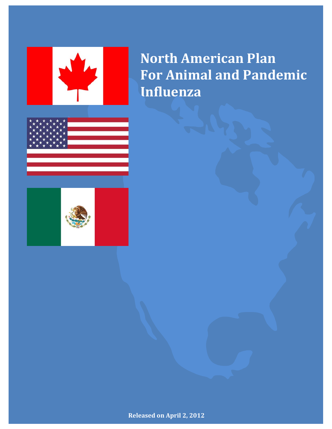

**North American Plan For Animal and Pandemic Influenza**



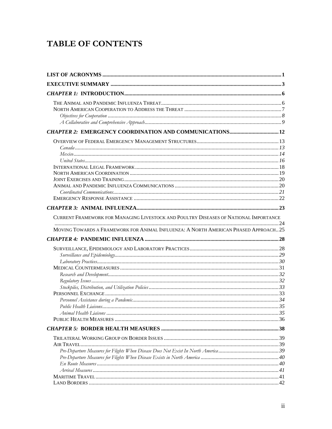# TABLE OF CONTENTS

| CURRENT FRAMEWORK FOR MANAGING LIVESTOCK AND POULTRY DISEASES OF NATIONAL IMPORTANCE<br>MOVING TOWARDS A FRAMEWORK FOR ANIMAL INFLUENZA: A NORTH AMERICAN PHASED APPROACH25 |  |
|-----------------------------------------------------------------------------------------------------------------------------------------------------------------------------|--|
|                                                                                                                                                                             |  |
|                                                                                                                                                                             |  |
|                                                                                                                                                                             |  |
|                                                                                                                                                                             |  |
|                                                                                                                                                                             |  |
|                                                                                                                                                                             |  |
|                                                                                                                                                                             |  |
|                                                                                                                                                                             |  |
|                                                                                                                                                                             |  |
|                                                                                                                                                                             |  |
|                                                                                                                                                                             |  |
|                                                                                                                                                                             |  |
|                                                                                                                                                                             |  |
|                                                                                                                                                                             |  |
|                                                                                                                                                                             |  |
|                                                                                                                                                                             |  |
|                                                                                                                                                                             |  |
|                                                                                                                                                                             |  |
|                                                                                                                                                                             |  |
|                                                                                                                                                                             |  |
|                                                                                                                                                                             |  |
|                                                                                                                                                                             |  |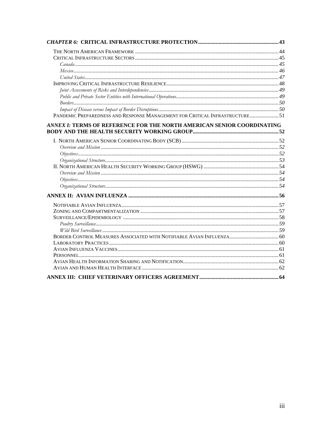| PANDEMIC PREPAREDNESS AND RESPONSE MANAGEMENT FOR CRITICAL INFRASTRUCTURE 51 |  |
|------------------------------------------------------------------------------|--|
| ANNEX I: TERMS OF REFERENCE FOR THE NORTH AMERICAN SENIOR COORDINATING       |  |
|                                                                              |  |
|                                                                              |  |
|                                                                              |  |
|                                                                              |  |
|                                                                              |  |
|                                                                              |  |
|                                                                              |  |
|                                                                              |  |
|                                                                              |  |
|                                                                              |  |
|                                                                              |  |
|                                                                              |  |
|                                                                              |  |
|                                                                              |  |
|                                                                              |  |
|                                                                              |  |
| BORDER CONTROL MEASURES ASSOCIATED WITH NOTIFIABLE AVIAN INFLUENZA 60        |  |
|                                                                              |  |
|                                                                              |  |
|                                                                              |  |
|                                                                              |  |
|                                                                              |  |
|                                                                              |  |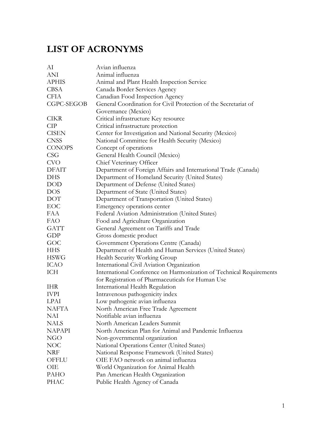# **LIST OF ACRONYMS**

| AI            | Avian influenza                                                     |
|---------------|---------------------------------------------------------------------|
| <b>ANI</b>    | Animal influenza                                                    |
| <b>APHIS</b>  | Animal and Plant Health Inspection Service                          |
| <b>CBSA</b>   | Canada Border Services Agency                                       |
| <b>CFIA</b>   | Canadian Food Inspection Agency                                     |
| CGPC-SEGOB    | General Coordination for Civil Protection of the Secretariat of     |
|               | Governance (Mexico)                                                 |
| <b>CIKR</b>   | Critical infrastructure Key resource                                |
| <b>CIP</b>    | Critical infrastructure protection                                  |
| <b>CISEN</b>  | Center for Investigation and National Security (Mexico)             |
| <b>CNSS</b>   | National Committee for Health Security (Mexico)                     |
| <b>CONOPS</b> | Concept of operations                                               |
| <b>CSG</b>    | General Health Council (Mexico)                                     |
| <b>CVO</b>    | Chief Veterinary Officer                                            |
| <b>DFAIT</b>  | Department of Foreign Affairs and International Trade (Canada)      |
| <b>DHS</b>    | Department of Homeland Security (United States)                     |
| <b>DOD</b>    | Department of Defense (United States)                               |
| <b>DOS</b>    | Department of State (United States)                                 |
| DOT           | Department of Transportation (United States)                        |
| EOC           | Emergency operations center                                         |
| FAA           | Federal Aviation Administration (United States)                     |
| <b>FAO</b>    | Food and Agriculture Organization                                   |
| <b>GATT</b>   | General Agreement on Tariffs and Trade                              |
| GDP           | Gross domestic product                                              |
| GOC           | Government Operations Centre (Canada)                               |
| <b>HHS</b>    | Department of Health and Human Services (United States)             |
| <b>HSWG</b>   | Health Security Working Group                                       |
| <b>ICAO</b>   | International Civil Aviation Organization                           |
| ICH           | International Conference on Harmonization of Technical Requirements |
|               | for Registration of Pharmaceuticals for Human Use                   |
| <b>IHR</b>    | International Health Regulation                                     |
| <b>IVPI</b>   | Intravenous pathogenicity index                                     |
| <b>LPAI</b>   | Low pathogenic avian influenza                                      |
| NAFTA         | North American Free Trade Agreement                                 |
| NAI           | Notifiable avian influenza                                          |
| <b>NALS</b>   | North American Leaders Summit                                       |
| <b>NAPAPI</b> | North American Plan for Animal and Pandemic Influenza               |
| <b>NGO</b>    | Non-governmental organization                                       |
| NOC           | National Operations Center (United States)                          |
| NRF           | National Response Framework (United States)                         |
| OFFLU         | OIE FAO network on animal influenza                                 |
| OIE           | World Organization for Animal Health                                |
| PAHO          | Pan American Health Organization                                    |
| <b>PHAC</b>   | Public Health Agency of Canada                                      |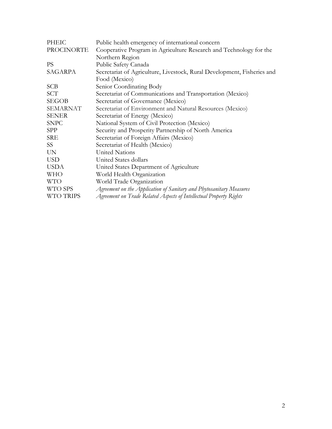| PHEIC            | Public health emergency of international concern                        |
|------------------|-------------------------------------------------------------------------|
| PROCINORTE       | Cooperative Program in Agriculture Research and Technology for the      |
|                  | Northern Region                                                         |
| <b>PS</b>        | Public Safety Canada                                                    |
| SAGARPA          | Secretariat of Agriculture, Livestock, Rural Development, Fisheries and |
|                  | Food (Mexico)                                                           |
| <b>SCB</b>       | Senior Coordinating Body                                                |
| SCT              | Secretariat of Communications and Transportation (Mexico)               |
| <b>SEGOB</b>     | Secretariat of Governance (Mexico)                                      |
| <b>SEMARNAT</b>  | Secretariat of Environment and Natural Resources (Mexico)               |
| <b>SENER</b>     | Secretariat of Energy (Mexico)                                          |
| <b>SNPC</b>      | National System of Civil Protection (Mexico)                            |
| <b>SPP</b>       | Security and Prosperity Partnership of North America                    |
| <b>SRE</b>       | Secretariat of Foreign Affairs (Mexico)                                 |
| SS.              | Secretariat of Health (Mexico)                                          |
| <b>UN</b>        | United Nations                                                          |
| <b>USD</b>       | United States dollars                                                   |
| <b>USDA</b>      | United States Department of Agriculture                                 |
| <b>WHO</b>       | World Health Organization                                               |
| <b>WTO</b>       | World Trade Organization                                                |
| WTO SPS          | Agreement on the Application of Sanitary and Phytosanitary Measures     |
| <b>WTO TRIPS</b> | Agreement on Trade Related Aspects of Intellectual Property Rights      |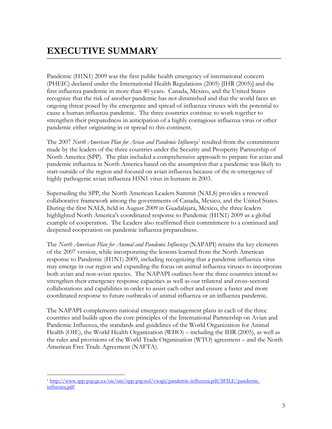# **EXECUTIVE SUMMARY**

Pandemic (H1N1) 2009 was the first public health emergency of international concern (PHEIC) declared under the International Health Regulations (2005) [IHR (2005)] and the first influenza pandemic in more than 40 years. Canada, Mexico, and the United States recognize that the risk of another pandemic has not diminished and that the world faces an ongoing threat posed by the emergence and spread of influenza viruses with the potential to cause a human influenza pandemic. The three countries continue to work together to strengthen their preparedness in anticipation of a highly contagious influenza virus or other pandemic either originating in or spread to this continent.

The 2007 *North American Plan for Avian and Pandemic Influenza*<sup>1</sup> resulted from the commitment made by the leaders of the three countries under the Security and Prosperity Partnership of North America (SPP). The plan included a comprehensive approach to prepare for avian and pandemic influenza in North America based on the assumption that a pandemic was likely to start outside of the region and focused on avian influenza because of the re-emergence of highly pathogenic avian influenza H5N1 virus in humans in 2003.

Superseding the SPP, the North American Leaders Summit (NALS) provides a renewed collaborative framework among the governments of Canada, Mexico, and the United States. During the first NALS, held in August 2009 in Guadalajara, Mexico, the three leaders highlighted North America's coordinated response to Pandemic (H1N1) 2009 as a global example of cooperation. The Leaders also reaffirmed their commitment to a continued and deepened cooperation on pandemic influenza preparedness.

The *North American Plan for Animal and Pandemic Influenza* (NAPAPI) retains the key elements of the 2007 version, while incorporating the lessons learned from the North American response to Pandemic (H1N1) 2009, including recognizing that a pandemic influenza virus may emerge in our region and expanding the focus on animal influenza viruses to incorporate both avian and non-avian species. The NAPAPI outlines how the three countries intend to strengthen their emergency response capacities as well as our trilateral and cross-sectoral collaborations and capabilities in order to assist each other and ensure a faster and more coordinated response to future outbreaks of animal influenza or an influenza pandemic.

The NAPAPI complements national emergency management plans in each of the three countries and builds upon the core principles of the International Partnership on Avian and Pandemic Influenza, the standards and guidelines of the World Organization for Animal Health (OIE), the World Health Organization (WHO) – including the IHR (2005), as well as the rules and provisions of the World Trade Organization (WTO) agreement – and the North American Free Trade Agreement (NAFTA).

 $\overline{a}$ influenza.pdf 1 http://www.spp-psp.gc.ca/eic/site/spp-psp.nsf/vwapj/pandemic-influenza.pdf/\$FILE/pandemicinfluenza.pdf 3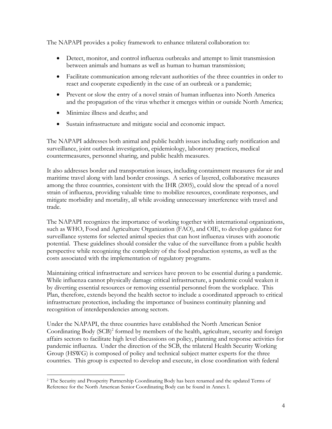The NAPAPI provides a policy framework to enhance trilateral collaboration to:

- Detect, monitor, and control influenza outbreaks and attempt to limit transmission between animals and humans as well as human to human transmission;
- Facilitate communication among relevant authorities of the three countries in order to react and cooperate expediently in the case of an outbreak or a pandemic;
- Prevent or slow the entry of a novel strain of human influenza into North America and the propagation of the virus whether it emerges within or outside North America;
- Minimize illness and deaths; and
- Sustain infrastructure and mitigate social and economic impact.

The NAPAPI addresses both animal and public health issues including early notification and surveillance, joint outbreak investigation, epidemiology, laboratory practices, medical countermeasures, personnel sharing, and public health measures.

It also addresses border and transportation issues, including containment measures for air and maritime travel along with land border crossings. A series of layered, collaborative measures among the three countries, consistent with the IHR (2005), could slow the spread of a novel strain of influenza, providing valuable time to mobilize resources, coordinate responses, and mitigate morbidity and mortality, all while avoiding unnecessary interference with travel and trade.

The NAPAPI recognizes the importance of working together with international organizations, such as WHO, Food and Agriculture Organization (FAO), and OIE, to develop guidance for surveillance systems for selected animal species that can host influenza viruses with zoonotic potential. These guidelines should consider the value of the surveillance from a public health perspective while recognizing the complexity of the food production systems, as well as the costs associated with the implementation of regulatory programs.

Maintaining critical infrastructure and services have proven to be essential during a pandemic. While influenza cannot physically damage critical infrastructure, a pandemic could weaken it by diverting essential resources or removing essential personnel from the workplace. This Plan, therefore, extends beyond the health sector to include a coordinated approach to critical infrastructure protection, including the importance of business continuity planning and recognition of interdependencies among sectors.

Under the NAPAPI, the three countries have established the North American Senior Coordinating Body (SCB)<sup>2</sup> formed by members of the health, agriculture, security and foreign affairs sectors to facilitate high level discussions on policy, planning and response activities for pandemic influenza. Under the direction of the SCB, the trilateral Health Security Working Group (HSWG) is composed of policy and technical subject matter experts for the three countries. This group is expected to develop and execute, in close coordination with federal

 $\overline{a}$ 2 The Security and Prosperity Partnership Coordinating Body has been renamed and the updated Terms of Reference for the North American Senior Coordinating Body can be found in Annex I.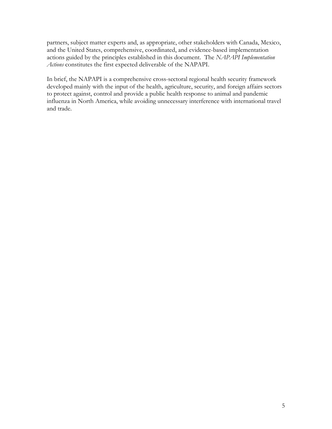partners, subject matter experts and, as appropriate, other stakeholders with Canada, Mexico, and the United States, comprehensive, coordinated, and evidence-based implementation actions guided by the principles established in this document. The *NAPAPI Implementation Actions* constitutes the first expected deliverable of the NAPAPI.

In brief, the NAPAPI is a comprehensive cross-sectoral regional health security framework developed mainly with the input of the health, agriculture, security, and foreign affairs sectors to protect against, control and provide a public health response to animal and pandemic influenza in North America, while avoiding unnecessary interference with international travel and trade.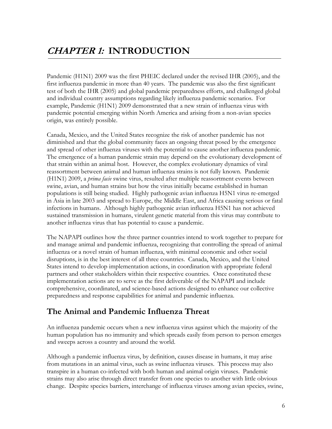# **CHAPTER 1: INTRODUCTION**

Pandemic (H1N1) 2009 was the first PHEIC declared under the revised IHR (2005), and the first influenza pandemic in more than 40 years. The pandemic was also the first significant test of both the IHR (2005) and global pandemic preparedness efforts, and challenged global and individual country assumptions regarding likely influenza pandemic scenarios. For example, Pandemic (H1N1) 2009 demonstrated that a new strain of influenza virus with pandemic potential emerging within North America and arising from a non-avian species origin, was entirely possible.

Canada, Mexico, and the United States recognize the risk of another pandemic has not diminished and that the global community faces an ongoing threat posed by the emergence and spread of other influenza viruses with the potential to cause another influenza pandemic. The emergence of a human pandemic strain may depend on the evolutionary development of that strain within an animal host. However, the complex evolutionary dynamics of viral reassortment between animal and human influenza strains is not fully known. Pandemic (H1N1) 2009, a *prima facie* swine virus, resulted after multiple reassortment events between swine, avian, and human strains but how the virus initially became established in human populations is still being studied. Highly pathogenic avian influenza H5N1 virus re-emerged in Asia in late 2003 and spread to Europe, the Middle East, and Africa causing serious or fatal infections in humans. Although highly pathogenic avian influenza H5N1 has not achieved sustained transmission in humans, virulent genetic material from this virus may contribute to another influenza virus that has potential to cause a pandemic.

The NAPAPI outlines how the three partner countries intend to work together to prepare for and manage animal and pandemic influenza, recognizing that controlling the spread of animal influenza or a novel strain of human influenza, with minimal economic and other social disruptions, is in the best interest of all three countries. Canada, Mexico, and the United States intend to develop implementation actions, in coordination with appropriate federal partners and other stakeholders within their respective countries*.* Once constituted these implementation actions are to serve as the first deliverable of the NAPAPI and include comprehensive, coordinated, and science-based actions designed to enhance our collective preparedness and response capabilities for animal and pandemic influenza.

### **The Animal and Pandemic Influenza Threat**

An influenza pandemic occurs when a new influenza virus against which the majority of the human population has no immunity and which spreads easily from person to person emerges and sweeps across a country and around the world.

Although a pandemic influenza virus, by definition, causes disease in humans, it may arise from mutations in an animal virus, such as swine influenza viruses. This process may also transpire in a human co-infected with both human and animal origin viruses. Pandemic strains may also arise through direct transfer from one species to another with little obvious change. Despite species barriers, interchange of influenza viruses among avian species, swine,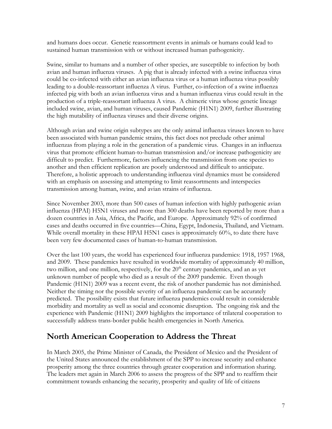and humans does occur. Genetic reassortment events in animals or humans could lead to sustained human transmission with or without increased human pathogenicity.

Swine, similar to humans and a number of other species, are susceptible to infection by both avian and human influenza viruses. A pig that is already infected with a swine influenza virus could be co-infected with either an avian influenza virus or a human influenza virus possibly leading to a double-reassortant influenza A virus. Further, co-infection of a swine influenza infected pig with both an avian influenza virus and a human influenza virus could result in the production of a triple-reassortant influenza A virus. A chimeric virus whose genetic lineage included swine, avian, and human viruses, caused Pandemic (H1N1) 2009, further illustrating the high mutability of influenza viruses and their diverse origins.

Although avian and swine origin subtypes are the only animal influenza viruses known to have been associated with human pandemic strains, this fact does not preclude other animal influenzas from playing a role in the generation of a pandemic virus. Changes in an influenza virus that promote efficient human-to-human transmission and/or increase pathogenicity are difficult to predict. Furthermore, factors influencing the transmission from one species to another and then efficient replication are poorly understood and difficult to anticipate. Therefore, a holistic approach to understanding influenza viral dynamics must be considered with an emphasis on assessing and attempting to limit reassortments and interspecies transmission among human, swine, and avian strains of influenza.

Since November 2003, more than 500 cases of human infection with highly pathogenic avian influenza (HPAI) H5N1 viruses and more than 300 deaths have been reported by more than a dozen countries in Asia, Africa, the Pacific, and Europe. Approximately 92% of confirmed cases and deaths occurred in five countries—China, Egypt, Indonesia, Thailand, and Vietnam. While overall mortality in these HPAI H5N1 cases is approximately 60%, to date there have been very few documented cases of human-to-human transmission.

Over the last 100 years, the world has experienced four influenza pandemics: 1918, 1957 1968, and 2009. These pandemics have resulted in worldwide mortality of approximately 40 million, two million, and one million, respectively, for the  $20<sup>th</sup>$  century pandemics, and an as yet unknown number of people who died as a result of the 2009 pandemic. Even though Pandemic (H1N1) 2009 was a recent event, the risk of another pandemic has not diminished. Neither the timing nor the possible severity of an influenza pandemic can be accurately predicted. The possibility exists that future influenza pandemics could result in considerable morbidity and mortality as well as social and economic disruption. The ongoing risk and the experience with Pandemic (H1N1) 2009 highlights the importance of trilateral cooperation to successfully address trans-border public health emergencies in North America.

### **North American Cooperation to Address the Threat**

In March 2005, the Prime Minister of Canada, the President of Mexico and the President of the United States announced the establishment of the SPP to increase security and enhance prosperity among the three countries through greater cooperation and information sharing. The leaders met again in March 2006 to assess the progress of the SPP and to reaffirm their commitment towards enhancing the security, prosperity and quality of life of citizens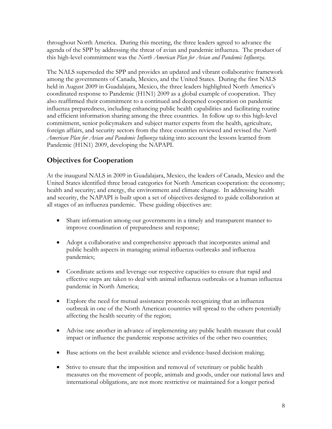throughout North America. During this meeting, the three leaders agreed to advance the agenda of the SPP by addressing the threat of avian and pandemic influenza. The product of this high-level commitment was the *North American Plan for Avian and Pandemic Influenza*.

The NALS superseded the SPP and provides an updated and vibrant collaborative framework among the governments of Canada, Mexico, and the United States. During the first NALS held in August 2009 in Guadalajara, Mexico, the three leaders highlighted North America's coordinated response to Pandemic (H1N1) 2009 as a global example of cooperation. They also reaffirmed their commitment to a continued and deepened cooperation on pandemic influenza preparedness, including enhancing public health capabilities and facilitating routine and efficient information sharing among the three countries. In follow up to this high-level commitment, senior policymakers and subject matter experts from the health, agriculture, foreign affairs, and security sectors from the three countries reviewed and revised the *North American Plan for Avian and Pandemic Influenza* taking into account the lessons learned from Pandemic (H1N1) 2009, developing the NAPAPI.

### **Objectives for Cooperation**

At the inaugural NALS in 2009 in Guadalajara, Mexico, the leaders of Canada, Mexico and the United States identified three broad categories for North American cooperation: the economy; health and security; and energy, the environment and climate change. In addressing health and security, the NAPAPI is built upon a set of objectives designed to guide collaboration at all stages of an influenza pandemic. These guiding objectives are:

- Share information among our governments in a timely and transparent manner to improve coordination of preparedness and response;
- Adopt a collaborative and comprehensive approach that incorporates animal and public health aspects in managing animal influenza outbreaks and influenza pandemics;
- Coordinate actions and leverage our respective capacities to ensure that rapid and effective steps are taken to deal with animal influenza outbreaks or a human influenza pandemic in North America;
- Explore the need for mutual assistance protocols recognizing that an influenza outbreak in one of the North American countries will spread to the others potentially affecting the health security of the region;
- Advise one another in advance of implementing any public health measure that could impact or influence the pandemic response activities of the other two countries;
- Base actions on the best available science and evidence-based decision making;
- Strive to ensure that the imposition and removal of veterinary or public health measures on the movement of people, animals and goods, under our national laws and international obligations, are not more restrictive or maintained for a longer period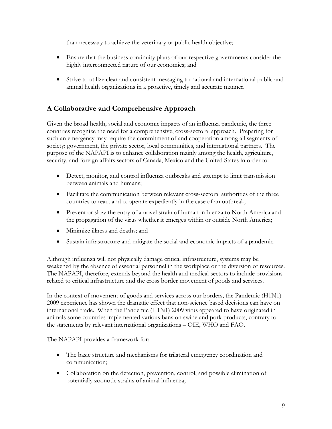than necessary to achieve the veterinary or public health objective;

- Ensure that the business continuity plans of our respective governments consider the highly interconnected nature of our economies; and
- Strive to utilize clear and consistent messaging to national and international public and animal health organizations in a proactive, timely and accurate manner.

### **A Collaborative and Comprehensive Approach**

Given the broad health, social and economic impacts of an influenza pandemic, the three countries recognize the need for a comprehensive, cross-sectoral approach. Preparing for such an emergency may require the commitment of and cooperation among all segments of society: government, the private sector, local communities, and international partners. The purpose of the NAPAPI is to enhance collaboration mainly among the health, agriculture, security, and foreign affairs sectors of Canada, Mexico and the United States in order to:

- Detect, monitor, and control influenza outbreaks and attempt to limit transmission between animals and humans;
- Facilitate the communication between relevant cross-sectoral authorities of the three countries to react and cooperate expediently in the case of an outbreak;
- Prevent or slow the entry of a novel strain of human influenza to North America and the propagation of the virus whether it emerges within or outside North America;
- Minimize illness and deaths; and
- Sustain infrastructure and mitigate the social and economic impacts of a pandemic.

Although influenza will not physically damage critical infrastructure, systems may be weakened by the absence of essential personnel in the workplace or the diversion of resources. The NAPAPI, therefore, extends beyond the health and medical sectors to include provisions related to critical infrastructure and the cross border movement of goods and services.

In the context of movement of goods and services across our borders, the Pandemic (H1N1) 2009 experience has shown the dramatic effect that non-science based decisions can have on international trade. When the Pandemic (H1N1) 2009 virus appeared to have originated in animals some countries implemented various bans on swine and pork products, contrary to the statements by relevant international organizations – OIE, WHO and FAO.

The NAPAPI provides a framework for:

- The basic structure and mechanisms for trilateral emergency coordination and communication;
- Collaboration on the detection, prevention, control, and possible elimination of potentially zoonotic strains of animal influenza;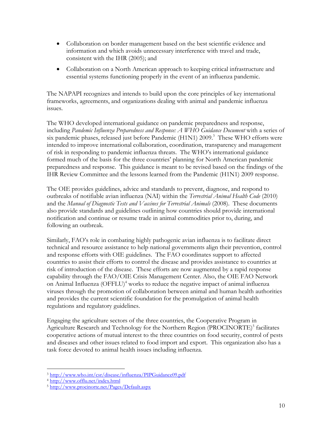- Collaboration on border management based on the best scientific evidence and information and which avoids unnecessary interference with travel and trade, consistent with the IHR (2005); and
- Collaboration on a North American approach to keeping critical infrastructure and essential systems functioning properly in the event of an influenza pandemic.

The NAPAPI recognizes and intends to build upon the core principles of key international frameworks, agreements, and organizations dealing with animal and pandemic influenza issues.

The WHO developed international guidance on pandemic preparedness and response, including *Pandemic Influenza Preparedness and Response: A WHO Guidance Document* with a series of six pandemic phases, released just before Pandemic (H1N1) 2009.<sup>3</sup> These WHO efforts were intended to improve international collaboration, coordination, transparency and management of risk in responding to pandemic influenza threats. The WHO's international guidance formed much of the basis for the three countries' planning for North American pandemic preparedness and response. This guidance is meant to be revised based on the findings of the IHR Review Committee and the lessons learned from the Pandemic (H1N1) 2009 response.

The OIE provides guidelines, advice and standards to prevent, diagnose, and respond to outbreaks of notifiable avian influenza (NAI) within the *Terrestrial Animal Health Code* (2010) and the *Manual of Diagnostic Tests and Vaccines for Terrestrial Animals* (2008). These documents also provide standards and guidelines outlining how countries should provide international notification and continue or resume trade in animal commodities prior to, during, and following an outbreak.

Similarly, FAO's role in combating highly pathogenic avian influenza is to facilitate direct technical and resource assistance to help national governments align their prevention, control and response efforts with OIE guidelines. The FAO coordinates support to affected countries to assist their efforts to control the disease and provides assistance to countries at risk of introduction of the disease. These efforts are now augmented by a rapid response capability through the FAO/OIE Crisis Management Center. Also, the OIE FAO Network on Animal Influenza (OFFLU)<sup>4</sup> works to reduce the negative impact of animal influenza viruses through the promotion of collaboration between animal and human health authorities and provides the current scientific foundation for the promulgation of animal health regulations and regulatory guidelines.

Engaging the agriculture sectors of the three countries, the Cooperative Program in Agriculture Research and Technology for the Northern Region (PROCINORTE)<sup>5</sup> facilitates cooperative actions of mutual interest to the three countries on food security, control of pests and diseases and other issues related to food import and export. This organization also has a task force devoted to animal health issues including influenza.

 $\overline{a}$  $3 \text{ http://www.who.int/csr/disease/influenza/PIPGuidance09.pdf}$ 

<sup>&</sup>lt;sup>4</sup> http://www.offlu.net/index.html<br><sup>5</sup> http://www.procinorte.net/Pages/Default.aspx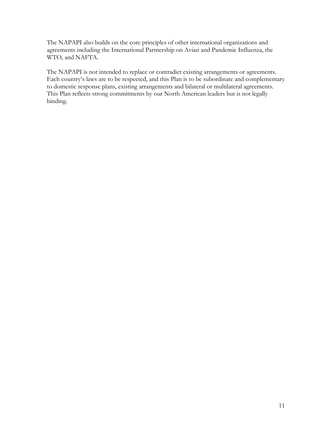The NAPAPI also builds on the core principles of other international organizations and agreements including the International Partnership on Avian and Pandemic Influenza, the WTO, and NAFTA.

The NAPAPI is not intended to replace or contradict existing arrangements or agreements. Each country's laws are to be respected, and this Plan is to be subordinate and complementary to domestic response plans, existing arrangements and bilateral or multilateral agreements. This Plan reflects strong commitments by our North American leaders but is not legally binding.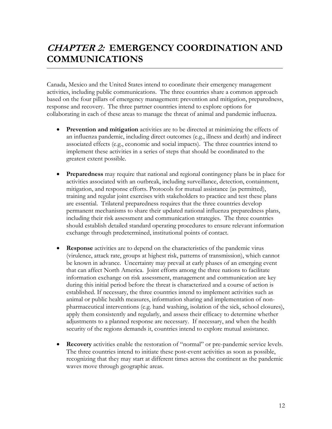# **CHAPTER 2: EMERGENCY COORDINATION AND COMMUNICATIONS**

Canada, Mexico and the United States intend to coordinate their emergency management activities, including public communications. The three countries share a common approach based on the four pillars of emergency management: prevention and mitigation, preparedness, response and recovery. The three partner countries intend to explore options for collaborating in each of these areas to manage the threat of animal and pandemic influenza.

- **Prevention and mitigation** activities are to be directed at minimizing the effects of an influenza pandemic, including direct outcomes (e.g., illness and death) and indirect associated effects (e.g., economic and social impacts). The three countries intend to implement these activities in a series of steps that should be coordinated to the greatest extent possible.
- **Preparedness** may require that national and regional contingency plans be in place for activities associated with an outbreak, including surveillance, detection, containment, mitigation, and response efforts. Protocols for mutual assistance (as permitted), training and regular joint exercises with stakeholders to practice and test these plans are essential. Trilateral preparedness requires that the three countries develop permanent mechanisms to share their updated national influenza preparedness plans, including their risk assessment and communication strategies. The three countries should establish detailed standard operating procedures to ensure relevant information exchange through predetermined, institutional points of contact.
- **Response** activities are to depend on the characteristics of the pandemic virus (virulence, attack rate, groups at highest risk, patterns of transmission), which cannot be known in advance. Uncertainty may prevail at early phases of an emerging event that can affect North America. Joint efforts among the three nations to facilitate information exchange on risk assessment, management and communication are key during this initial period before the threat is characterized and a course of action is established. If necessary, the three countries intend to implement activities such as animal or public health measures, information sharing and implementation of nonpharmaceutical interventions (e.g. hand washing, isolation of the sick, school closures), apply them consistently and regularly, and assess their efficacy to determine whether adjustments to a planned response are necessary. If necessary, and when the health security of the regions demands it, countries intend to explore mutual assistance.
- **Recovery** activities enable the restoration of "normal" or pre-pandemic service levels. The three countries intend to initiate these post-event activities as soon as possible, recognizing that they may start at different times across the continent as the pandemic waves move through geographic areas.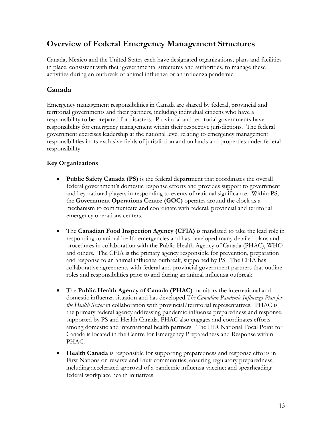## **Overview of Federal Emergency Management Structures**

Canada, Mexico and the United States each have designated organizations, plans and facilities in place, consistent with their governmental structures and authorities, to manage these activities during an outbreak of animal influenza or an influenza pandemic.

#### **Canada**

Emergency management responsibilities in Canada are shared by federal, provincial and territorial governments and their partners, including individual citizens who have a responsibility to be prepared for disasters. Provincial and territorial governments have responsibility for emergency management within their respective jurisdictions. The federal government exercises leadership at the national level relating to emergency management responsibilities in its exclusive fields of jurisdiction and on lands and properties under federal responsibility.

#### **Key Organizations**

- **Public Safety Canada (PS)** is the federal department that coordinates the overall federal government's domestic response efforts and provides support to government and key national players in responding to events of national significance. Within PS, the **Government Operations Centre (GOC)** operates around the clock as a mechanism to communicate and coordinate with federal, provincial and territorial emergency operations centers.
- The **Canadian Food Inspection Agency (CFIA)** is mandated to take the lead role in responding to animal health emergencies and has developed many detailed plans and procedures in collaboration with the Public Health Agency of Canada (PHAC), WHO and others. The CFIA is the primary agency responsible for prevention, preparation and response to an animal influenza outbreak, supported by PS. The CFIA has collaborative agreements with federal and provincial government partners that outline roles and responsibilities prior to and during an animal influenza outbreak.
- The **Public Health Agency of Canada (PHAC)** monitors the international and domestic influenza situation and has developed *The Canadian Pandemic Influenza Plan for the Health Sector* in collaboration with provincial/territorial representatives. PHAC is the primary federal agency addressing pandemic influenza preparedness and response, supported by PS and Health Canada. PHAC also engages and coordinates efforts among domestic and international health partners. The IHR National Focal Point for Canada is located in the Centre for Emergency Preparedness and Response within PHAC.
- **Health Canada** is responsible for supporting preparedness and response efforts in First Nations on reserve and Inuit communities; ensuring regulatory preparedness, including accelerated approval of a pandemic influenza vaccine; and spearheading federal workplace health initiatives.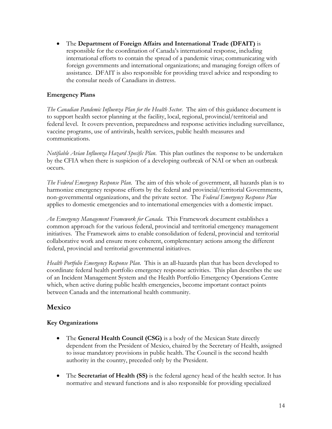The **Department of Foreign Affairs and International Trade (DFAIT)** is responsible for the coordination of Canada's international response, including international efforts to contain the spread of a pandemic virus; communicating with foreign governments and international organizations; and managing foreign offers of assistance. DFAIT is also responsible for providing travel advice and responding to the consular needs of Canadians in distress.

#### **Emergency Plans**

*The Canadian Pandemic Influenza Plan for the Health Sector*. The aim of this guidance document is to support health sector planning at the facility, local, regional, provincial/territorial and federal level. It covers prevention, preparedness and response activities including surveillance, vaccine programs, use of antivirals, health services, public health measures and communications.

*Notifiable Avian Influenza Hazard Specific Plan*. This plan outlines the response to be undertaken by the CFIA when there is suspicion of a developing outbreak of NAI or when an outbreak occurs.

*The Federal Emergency Response Plan*. The aim of this whole of government, all hazards plan is to harmonize emergency response efforts by the federal and provincial/territorial Governments, non-governmental organizations, and the private sector. The *Federal Emergency Response Plan*  applies to domestic emergencies and to international emergencies with a domestic impact.

*An Emergency Management Framework for Canada*. This Framework document establishes a common approach for the various federal, provincial and territorial emergency management initiatives. The Framework aims to enable consolidation of federal, provincial and territorial collaborative work and ensure more coherent, complementary actions among the different federal, provincial and territorial governmental initiatives.

*Health Portfolio Emergency Response Plan*. This is an all-hazards plan that has been developed to coordinate federal health portfolio emergency response activities. This plan describes the use of an Incident Management System and the Health Portfolio Emergency Operations Centre which, when active during public health emergencies, become important contact points between Canada and the international health community.

#### **Mexico**

#### **Key Organizations**

- The **General Health Council (CSG)** is a body of the Mexican State directly dependent from the President of Mexico, chaired by the Secretary of Health, assigned to issue mandatory provisions in public health. The Council is the second health authority in the country, preceded only by the President.
- The **Secretariat of Health (SS)** is the federal agency head of the health sector. It has normative and steward functions and is also responsible for providing specialized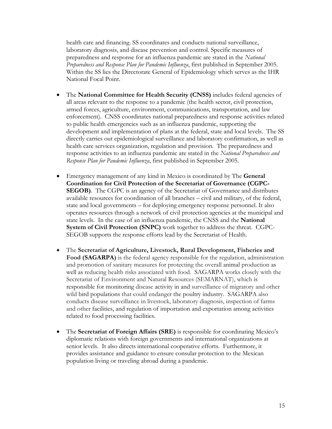health care and financing. SS coordinates and conducts national surveillance, laboratory diagnosis, and disease prevention and control. Specific measures of preparedness and response for an influenza pandemic are stated in the *National Preparedness and Response Plan for Pandemic Influenza*, first published in September 2005. Within the SS lies the Directorate General of Epidemiology which serves as the IHR National Focal Point.

- The **National Committee for Health Security (CNSS)** includes federal agencies of all areas relevant to the response to a pandemic (the health sector, civil protection, armed forces, agriculture, environment, communications, transportation, and law enforcement). CNSS coordinates national preparedness and response activities related to public health emergencies such as an influenza pandemic, supporting the development and implementation of plans at the federal, state and local levels. The SS directly carries out epidemiological surveillance and laboratory confirmation, as well as health care services organization, regulation and provision. The preparedness and response activities to an influenza pandemic are stated in the *National Preparedness and Response Plan for Pandemic Influenza*, first published in September 2005.
- **SEGOB)**. The CGPC is an agency of the Secretariat of Governance and distributes Emergency management of any kind in Mexico is coordinated by The **General Coordination for Civil Protection of the Secretariat of Governance (CGPC**available resources for coordination of all branches – civil and military, of the federal, state and local governments – for deploying emergency response personnel. It also operates resources through a network of civil protection agencies at the municipal and state levels. In the case of an influenza pandemic, the CNSS and the **National System of Civil Protection (SNPC)** work together to address the threat. CGPC-SEGOB supports the response efforts lead by the Secretariat of Health.
- wild bird populations that could endanger the poultry industry. SAGARPA also The **Secretariat of Agriculture, Livestock, Rural Development, Fisheries and Food (SAGARPA)** is the federal agency responsible for the regulation, administration and promotion of sanitary measures for protecting the overall animal production as well as reducing health risks associated with food. SAGARPA works closely with the Secretariat of Environment and Natural Resources (SEMARNAT), which is responsible for monitoring disease activity in and surveillance of migratory and other conducts disease surveillance in livestock, laboratory diagnosis, inspection of farms and other facilities, and regulation of importation and exportation among activities related to food processing facilities.
- The **Secretariat of Foreign Affairs (SRE)** is responsible for coordinating Mexico's diplomatic relations with foreign governments and international organizations at senior levels. It also directs international cooperative efforts. Furthermore, it provides assistance and guidance to ensure consular protection to the Mexican population living or traveling abroad during a pandemic.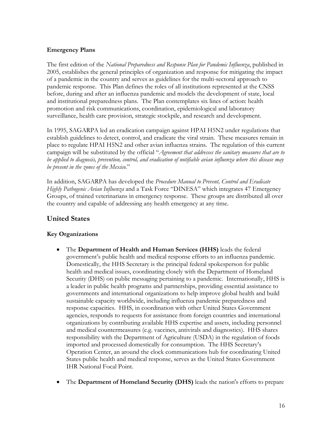#### **Emergency Plans**

The first edition of the *National Preparedness and Response Plan for Pandemic Influenza*, published in 2005, establishes the general principles of organization and response for mitigating the impact of a pandemic in the country and serves as guidelines for the multi-sectoral approach to pandemic response. This Plan defines the roles of all institutions represented at the CNSS before, during and after an influenza pandemic and models the development of state, local and institutional preparedness plans. The Plan contemplates six lines of action: health promotion and risk communications, coordination, epidemiological and laboratory surveillance, health care provision, strategic stockpile, and research and development.

In 1995, SAGARPA led an eradication campaign against HPAI H5N2 under regulations that establish guidelines to detect, control, and eradicate the viral strain. These measures remain in place to regulate HPAI H5N2 and other avian influenza strains. The regulation of this current campaign will be substituted by the official "*Agreement that addresses the sanitary measures that are to be applied to diagnosis, prevention, control, and eradication of notifiable avian influenza where this disease may be present in the zones of the Mexico.*"

In addition, SAGARPA has developed the *Procedure Manual to Prevent, Control and Eradicate Highly Pathogenic Avian Influenza* and a Task Force "DINESA" which integrates 47 Emergency Groups, of trained veterinarians in emergency response. These groups are distributed all over the country and capable of addressing any health emergency at any time.

#### **United States**

#### **Key Organizations**

- The **Department of Health and Human Services (HHS)** leads the federal government's public health and medical response efforts to an influenza pandemic. Domestically, the HHS Secretary is the principal federal spokesperson for public health and medical issues, coordinating closely with the Department of Homeland Security (DHS) on public messaging pertaining to a pandemic. Internationally, HHS is a leader in public health programs and partnerships, providing essential assistance to governments and international organizations to help improve global health and build sustainable capacity worldwide, including influenza pandemic preparedness and response capacities. HHS, in coordination with other United States Government agencies, responds to requests for assistance from foreign countries and international organizations by contributing available HHS expertise and assets, including personnel and medical countermeasures (e.g. vaccines, antivirals and diagnostics). HHS shares responsibility with the Department of Agriculture (USDA) in the regulation of foods imported and processed domestically for consumption. The HHS Secretary's Operation Center, an around the clock communications hub for coordinating United States public health and medical response, serves as the United States Government IHR National Focal Point.
- The **Department of Homeland Security (DHS)** leads the nation's efforts to prepare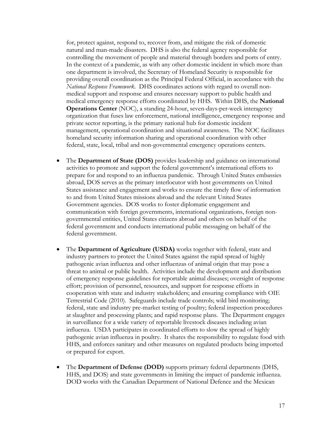for, protect against, respond to, recover from, and mitigate the risk of domestic natural and man-made disasters. DHS is also the federal agency responsible for controlling the movement of people and material through borders and ports of entry. In the context of a pandemic, as with any other domestic incident in which more than one department is involved, the Secretary of Homeland Security is responsible for providing overall coordination as the Principal Federal Official, in accordance with the *National Response Framework*. DHS coordinates actions with regard to overall nonmedical support and response and ensures necessary support to public health and medical emergency response efforts coordinated by HHS. Within DHS, the **National Operations Center** (NOC), a standing 24-hour, seven-days-per-week interagency organization that fuses law enforcement, national intelligence, emergency response and private sector reporting, is the primary national hub for domestic incident management, operational coordination and situational awareness. The NOC facilitates homeland security information sharing and operational coordination with other federal, state, local, tribal and non-governmental emergency operations centers.

- The **Department of State (DOS)** provides leadership and guidance on international activities to promote and support the federal government's international efforts to prepare for and respond to an influenza pandemic. Through United States embassies abroad, DOS serves as the primary interlocutor with host governments on United States assistance and engagement and works to ensure the timely flow of information to and from United States missions abroad and the relevant United States Government agencies. DOS works to foster diplomatic engagement and communication with foreign governments, international organizations, foreign nongovernmental entities, United States citizens abroad and others on behalf of the federal government and conducts international public messaging on behalf of the federal government.
- The **Department of Agriculture (USDA)** works together with federal, state and industry partners to protect the United States against the rapid spread of highly pathogenic avian influenza and other influenzas of animal origin that may pose a threat to animal or public health. Activities include the development and distribution of emergency response guidelines for reportable animal diseases; oversight of response effort; provision of personnel, resources, and support for response efforts in cooperation with state and industry stakeholders; and ensuring compliance with OIE Terrestrial Code (2010). Safeguards include trade controls; wild bird monitoring; federal, state and industry pre-market testing of poultry; federal inspection procedures at slaughter and processing plants; and rapid response plans. The Department engages in surveillance for a wide variety of reportable livestock diseases including avian influenza. USDA participates in coordinated efforts to slow the spread of highly pathogenic avian influenza in poultry. It shares the responsibility to regulate food with HHS, and enforces sanitary and other measures on regulated products being imported or prepared for export.
- The **Department of Defense (DOD)** supports primary federal departments (DHS, HHS, and DOS) and state governments in limiting the impact of pandemic influenza. DOD works with the Canadian Department of National Defence and the Mexican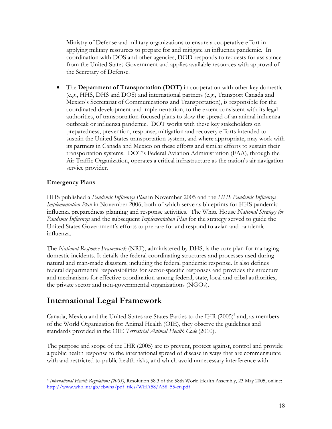Ministry of Defense and military organizations to ensure a cooperative effort in applying military resources to prepare for and mitigate an influenza pandemic. In coordination with DOS and other agencies, DOD responds to requests for assistance from the United States Government and applies available resources with approval of the Secretary of Defense.

 The **Department of Transportation (DOT)** in cooperation with other key domestic (e.g., HHS, DHS and DOS) and international partners (e.g., Transport Canada and Mexico's Secretariat of Communications and Transportation), is responsible for the coordinated development and implementation, to the extent consistent with its legal authorities, of transportation-focused plans to slow the spread of an animal influenza outbreak or influenza pandemic. DOT works with these key stakeholders on preparedness, prevention, response, mitigation and recovery efforts intended to sustain the United States transportation system, and where appropriate, may work with its partners in Canada and Mexico on these efforts and similar efforts to sustain their transportation systems. DOT's Federal Aviation Administration (FAA), through the Air Traffic Organization, operates a critical infrastructure as the nation's air navigation service provider.

#### **Emergency Plans**

HHS published a *Pandemic Influenza Plan* in November 2005 and the *HHS Pandemic Influenza Implementation Plan* in November 2006, both of which serve as blueprints for HHS pandemic influenza preparedness planning and response activities. The White House *National Strategy for Pandemic Influenza* and the subsequent *Implementation Plan* for the strategy served to guide the United States Government's efforts to prepare for and respond to avian and pandemic influenza.

The *National Response Framework* (NRF), administered by DHS, is the core plan for managing domestic incidents. It details the federal coordinating structures and processes used during natural and man-made disasters, including the federal pandemic response. It also defines federal departmental responsibilities for sector-specific responses and provides the structure and mechanisms for effective coordination among federal, state, local and tribal authorities, the private sector and non-governmental organizations (NGOs).

## **International Legal Framework**

Canada, Mexico and the United States are States Parties to the IHR (2005)<sup>6</sup> and, as members of the World Organization for Animal Health (OIE), they observe the guidelines and standards provided in the OIE *Terrestrial Animal Health Code* (2010).

The purpose and scope of the IHR (2005) are to prevent, protect against, control and provide a public health response to the international spread of disease in ways that are commensurate with and restricted to public health risks, and which avoid unnecessary interference with

 $\overline{a}$ <sup>6</sup>*International Health Regulations (2005)*, Resolution 58.3 of the 58th World Health Assembly, 23 May 2005, online: http://www.who.int/gb/ebwha/pdf\_files/WHA58/A58\_55-en.pdf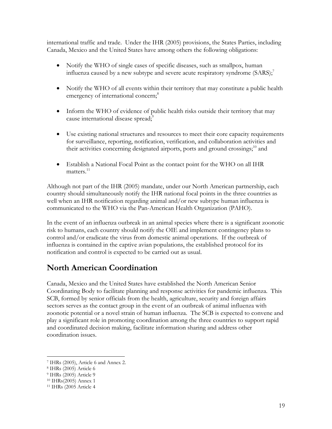international traffic and trade. Under the IHR (2005) provisions, the States Parties, including Canada, Mexico and the United States have among others the following obligations:

- Notify the WHO of single cases of specific diseases, such as smallpox, human influenza caused by a new subtype and severe acute respiratory syndrome  $(SARS)$ ;
- Notify the WHO of all events within their territory that may constitute a public health emergency of international concern;<sup>8</sup>
- Inform the WHO of evidence of public health risks outside their territory that may cause international disease spread;<sup>9</sup>
- Use existing national structures and resources to meet their core capacity requirements for surveillance, reporting, notification, verification, and collaboration activities and their activities concerning designated airports, ports and ground crossings;<sup>10</sup> and
- Establish a National Focal Point as the contact point for the WHO on all IHR matters<sup>11</sup>

Although not part of the IHR (2005) mandate, under our North American partnership, each country should simultaneously notify the IHR national focal points in the three countries as well when an IHR notification regarding animal and/or new subtype human influenza is communicated to the WHO via the Pan-American Health Organization (PAHO).

In the event of an influenza outbreak in an animal species where there is a significant zoonotic risk to humans, each country should notify the OIE and implement contingency plans to control and/or eradicate the virus from domestic animal operations. If the outbreak of influenza is contained in the captive avian populations, the established protocol for its notification and control is expected to be carried out as usual.

# **North American Coordination**

Canada, Mexico and the United States have established the North American Senior Coordinating Body to facilitate planning and response activities for pandemic influenza. This SCB, formed by senior officials from the health, agriculture, security and foreign affairs sectors serves as the contact group in the event of an outbreak of animal influenza with zoonotic potential or a novel strain of human influenza. The SCB is expected to convene and play a significant role in promoting coordination among the three countries to support rapid and coordinated decision making, facilitate information sharing and address other coordination issues.

 $\overline{a}$ 

<sup>7</sup> IHRs (2005), Article 6 and Annex 2.

<sup>8</sup> IHRs (2005) Article 6

<sup>9</sup> IHRs (2005) Article 9

<sup>10</sup> IHRs(2005) Annex 1

<sup>11</sup> IHRs (2005 Article 4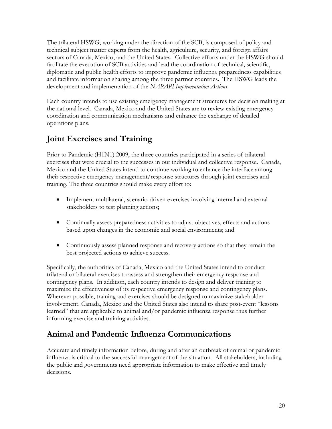The trilateral HSWG, working under the direction of the SCB, is composed of policy and technical subject matter experts from the health, agriculture, security, and foreign affairs sectors of Canada, Mexico, and the United States. Collective efforts under the HSWG should facilitate the execution of SCB activities and lead the coordination of technical, scientific, diplomatic and public health efforts to improve pandemic influenza preparedness capabilities and facilitate information sharing among the three partner countries. The HSWG leads the development and implementation of the *NAPAPI Implementation Actions*.

Each country intends to use existing emergency management structures for decision making at the national level. Canada, Mexico and the United States are to review existing emergency coordination and communication mechanisms and enhance the exchange of detailed operations plans.

## **Joint Exercises and Training**

Prior to Pandemic (H1N1) 2009, the three countries participated in a series of trilateral exercises that were crucial to the successes in our individual and collective response. Canada, Mexico and the United States intend to continue working to enhance the interface among their respective emergency management/response structures through joint exercises and training. The three countries should make every effort to:

- Implement multilateral, scenario-driven exercises involving internal and external stakeholders to test planning actions;
- Continually assess preparedness activities to adjust objectives, effects and actions based upon changes in the economic and social environments; and
- Continuously assess planned response and recovery actions so that they remain the best projected actions to achieve success.

Specifically, the authorities of Canada, Mexico and the United States intend to conduct trilateral or bilateral exercises to assess and strengthen their emergency response and contingency plans. In addition, each country intends to design and deliver training to maximize the effectiveness of its respective emergency response and contingency plans. Wherever possible, training and exercises should be designed to maximize stakeholder involvement. Canada, Mexico and the United States also intend to share post-event "lessons learned" that are applicable to animal and/or pandemic influenza response thus further informing exercise and training activities.

## **Animal and Pandemic Influenza Communications**

Accurate and timely information before, during and after an outbreak of animal or pandemic influenza is critical to the successful management of the situation. All stakeholders, including the public and governments need appropriate information to make effective and timely decisions.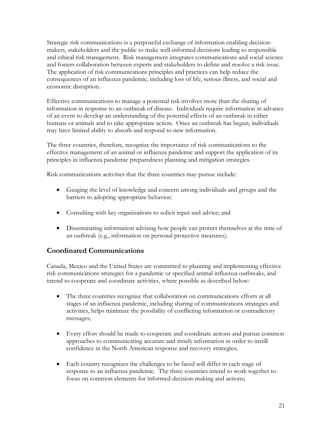Strategic risk communications is a purposeful exchange of information enabling decisionmakers, stakeholders and the public to make well-informed decisions leading to responsible and ethical risk management. Risk management integrates communications and social science and fosters collaboration between experts and stakeholders to define and resolve a risk issue. The application of risk communications principles and practices can help reduce the consequences of an influenza pandemic, including loss of life, serious illness, and social and economic disruption.

Effective communications to manage a potential risk involves more than the sharing of information in response to an outbreak of disease. Individuals require information in advance of an event to develop an understanding of the potential effects of an outbreak in either humans or animals and to take appropriate action. Once an outbreak has begun, individuals may have limited ability to absorb and respond to new information.

The three countries, therefore, recognize the importance of risk communications to the effective management of an animal or influenza pandemic and support the application of its principles in influenza pandemic preparedness planning and mitigation strategies.

Risk communications activities that the three countries may pursue include:

- Gauging the level of knowledge and concern among individuals and groups and the barriers to adopting appropriate behavior;
- Consulting with key organizations to solicit input and advice; and
- Disseminating information advising how people can protect themselves at the time of an outbreak (e.g., information on personal protective measures).

#### **Coordinated Communications**

Canada, Mexico and the United States are committed to planning and implementing effective risk communications strategies for a pandemic or specified animal influenza outbreaks, and intend to cooperate and coordinate activities, where possible as described below:

- The three countries recognize that collaboration on communications efforts at all stages of an influenza pandemic, including sharing of communications strategies and activities, helps minimize the possibility of conflicting information or contradictory messages;
- Every effort should be made to cooperate and coordinate actions and pursue common approaches to communicating accurate and timely information in order to instill confidence in the North American response and recovery strategies;
- Each country recognizes the challenges to be faced will differ in each stage of response to an influenza pandemic. The three countries intend to work together to focus on common elements for informed decision-making and actions;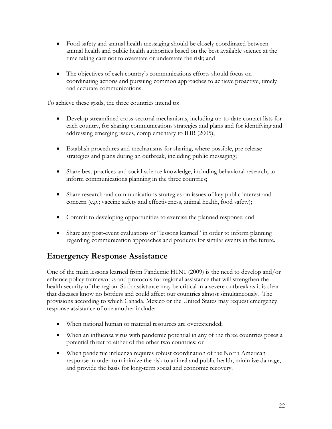- Food safety and animal health messaging should be closely coordinated between animal health and public health authorities based on the best available science at the time taking care not to overstate or understate the risk; and
- The objectives of each country's communications efforts should focus on coordinating actions and pursuing common approaches to achieve proactive, timely and accurate communications.

To achieve these goals, the three countries intend to:

- Develop streamlined cross-sectoral mechanisms, including up-to-date contact lists for each country, for sharing communications strategies and plans and for identifying and addressing emerging issues, complementary to IHR (2005);
- Establish procedures and mechanisms for sharing, where possible, pre-release strategies and plans during an outbreak, including public messaging;
- Share best practices and social science knowledge, including behavioral research, to inform communications planning in the three countries;
- Share research and communications strategies on issues of key public interest and concern (e.g.; vaccine safety and effectiveness, animal health, food safety);
- Commit to developing opportunities to exercise the planned response; and
- Share any post-event evaluations or "lessons learned" in order to inform planning regarding communication approaches and products for similar events in the future.

## **Emergency Response Assistance**

One of the main lessons learned from Pandemic H1N1 (2009) is the need to develop and/or enhance policy frameworks and protocols for regional assistance that will strengthen the health security of the region. Such assistance may be critical in a severe outbreak as it is clear that diseases know no borders and could affect our countries almost simultaneously. The provisions according to which Canada, Mexico or the United States may request emergency response assistance of one another include:

- When national human or material resources are overextended;
- When an influenza virus with pandemic potential in any of the three countries poses a potential threat to either of the other two countries; or
- When pandemic influenza requires robust coordination of the North American response in order to minimize the risk to animal and public health, minimize damage, and provide the basis for long-term social and economic recovery.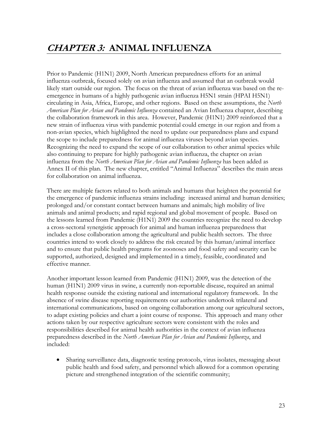Prior to Pandemic (H1N1) 2009, North American preparedness efforts for an animal influenza outbreak, focused solely on avian influenza and assumed that an outbreak would likely start outside our region. The focus on the threat of avian influenza was based on the reemergence in humans of a highly pathogenic avian influenza H5N1 strain (HPAI H5N1) circulating in Asia, Africa, Europe, and other regions. Based on these assumptions, the *North American Plan for Avian and Pandemic Influenza* contained an Avian Influenza chapter, describing the collaboration framework in this area. However, Pandemic (H1N1) 2009 reinforced that a new strain of influenza virus with pandemic potential could emerge in our region and from a non-avian species, which highlighted the need to update our preparedness plans and expand the scope to include preparedness for animal influenza viruses beyond avian species. Recognizing the need to expand the scope of our collaboration to other animal species while also continuing to prepare for highly pathogenic avian influenza, the chapter on avian influenza from the *North American Plan for Avian and Pandemic Influenza* has been added as Annex II of this plan. The new chapter, entitled "Animal Influenza" describes the main areas for collaboration on animal influenza.

There are multiple factors related to both animals and humans that heighten the potential for the emergence of pandemic influenza strains including: increased animal and human densities; prolonged and/or constant contact between humans and animals; high mobility of live animals and animal products; and rapid regional and global movement of people. Based on the lessons learned from Pandemic (H1N1) 2009 the countries recognize the need to develop a cross-sectoral synergistic approach for animal and human influenza preparedness that includes a close collaboration among the agricultural and public health sectors. The three countries intend to work closely to address the risk created by this human/animal interface and to ensure that public health programs for zoonoses and food safety and security can be supported, authorized, designed and implemented in a timely, feasible, coordinated and effective manner.

Another important lesson learned from Pandemic (H1N1) 2009, was the detection of the human (H1N1) 2009 virus in swine, a currently non-reportable disease, required an animal health response outside the existing national and international regulatory framework. In the absence of swine disease reporting requirements our authorities undertook trilateral and international communications, based on ongoing collaboration among our agricultural sectors, to adapt existing policies and chart a joint course of response. This approach and many other actions taken by our respective agriculture sectors were consistent with the roles and responsibilities described for animal health authorities in the context of avian influenza preparedness described in the *North American Plan for Avian and Pandemic Influenza*, and included:

 Sharing surveillance data, diagnostic testing protocols, virus isolates, messaging about public health and food safety, and personnel which allowed for a common operating picture and strengthened integration of the scientific community;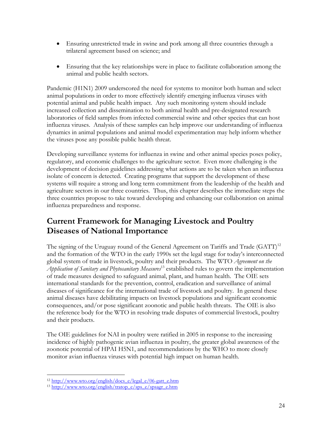- Ensuring unrestricted trade in swine and pork among all three countries through a trilateral agreement based on science; and
- Ensuring that the key relationships were in place to facilitate collaboration among the animal and public health sectors.

Pandemic (H1N1) 2009 underscored the need for systems to monitor both human and select animal populations in order to more effectively identify emerging influenza viruses with potential animal and public health impact. Any such monitoring system should include increased collection and dissemination to both animal health and pre-designated research laboratories of field samples from infected commercial swine and other species that can host influenza viruses. Analysis of these samples can help improve our understanding of influenza dynamics in animal populations and animal model experimentation may help inform whether the viruses pose any possible public health threat.

Developing surveillance systems for influenza in swine and other animal species poses policy, regulatory, and economic challenges to the agriculture sector. Even more challenging is the development of decision guidelines addressing what actions are to be taken when an influenza isolate of concern is detected. Creating programs that support the development of these systems will require a strong and long term commitment from the leadership of the health and agriculture sectors in our three countries. Thus, this chapter describes the immediate steps the three countries propose to take toward developing and enhancing our collaboration on animal influenza preparedness and response.

## **Current Framework for Managing Livestock and Poultry Diseases of National Importance**

The signing of the Uruguay round of the General Agreement on Tariffs and Trade  $(GATT)^{12}$ and the formation of the WTO in the early 1990s set the legal stage for today's interconnected global system of trade in livestock, poultry and their products. The WTO *Agreement on the Application of Sanitary and Phytosanitary Measures*13 established rules to govern the implementation of trade measures designed to safeguard animal, plant, and human health. The OIE sets international standards for the prevention, control, eradication and surveillance of animal diseases of significance for the international trade of livestock and poultry. In general these animal diseases have debilitating impacts on livestock populations and significant economic consequences, and/or pose significant zoonotic and public health threats. The OIE is also the reference body for the WTO in resolving trade disputes of commercial livestock, poultry and their products.

monitor avian influenza viruses with potential high impact on human health. The OIE guidelines for NAI in poultry were ratified in 2005 in response to the increasing incidence of highly pathogenic avian influenza in poultry, the greater global awareness of the zoonotic potential of HPAI H5N1, and recommendations by the WHO to more closely monitor avian influenza viruses with potential high impact on human health.<br>
12 http://www.wto.org/english/docs\_e/legal\_e/06-gatt\_e.htm 13 http://www.wto.org/english/tratop\_e/sps\_e/spsagr\_e.htm 24

 $\overline{a}$ 

 $\frac{13 \text{ http://www.wto.org/english/tratop e/sps e/spsagr ehtm}}{13 \text{ http://www.wto.org/english/tratop e/sps g/spsagr_e.htm}}$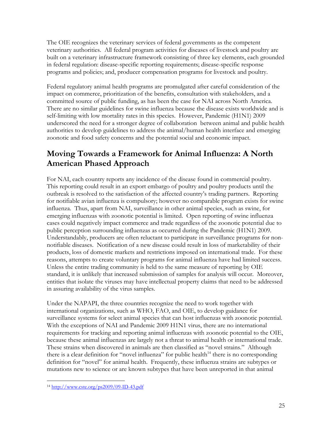The OIE recognizes the veterinary services of federal governments as the competent veterinary authorities. All federal program activities for diseases of livestock and poultry are built on a veterinary infrastructure framework consisting of three key elements, each grounded in federal regulation: disease-specific reporting requirements; disease-specific response programs and policies; and, producer compensation programs for livestock and poultry.

Federal regulatory animal health programs are promulgated after careful consideration of the impact on commerce, prioritization of the benefits, consultation with stakeholders, and a committed source of public funding, as has been the case for NAI across North America. There are no similar guidelines for swine influenza because the disease exists worldwide and is self-limiting with low mortality rates in this species. However, Pandemic (H1N1) 2009 underscored the need for a stronger degree of collaboration between animal and public health authorities to develop guidelines to address the animal/human health interface and emerging zoonotic and food safety concerns and the potential social and economic impact.

## **Moving Towards a Framework for Animal Influenza: A North American Phased Approach**

For NAI, each country reports any incidence of the disease found in commercial poultry. This reporting could result in an export embargo of poultry and poultry products until the outbreak is resolved to the satisfaction of the affected country's trading partners. Reporting for notifiable avian influenza is compulsory; however no comparable program exists for swine influenza. Thus, apart from NAI, surveillance in other animal species, such as swine, for emerging influenzas with zoonotic potential is limited. Open reporting of swine influenza cases could negatively impact commerce and trade regardless of the zoonotic potential due to public perception surrounding influenzas as occurred during the Pandemic (H1N1) 2009. Understandably, producers are often reluctant to participate in surveillance programs for nonnotifiable diseases. Notification of a new disease could result in loss of marketability of their products, loss of domestic markets and restrictions imposed on international trade. For these reasons, attempts to create voluntary programs for animal influenza have had limited success. Unless the entire trading community is held to the same measure of reporting by OIE standard, it is unlikely that increased submission of samples for analysis will occur. Moreover, entities that isolate the viruses may have intellectual property claims that need to be addressed in assuring availability of the virus samples.

Under the NAPAPI, the three countries recognize the need to work together with international organizations, such as WHO, FAO, and OIE, to develop guidance for surveillance systems for select animal species that can host influenzas with zoonotic potential. With the exceptions of NAI and Pandemic 2009 H1N1 virus, there are no international requirements for tracking and reporting animal influenzas with zoonotic potential to the OIE, because these animal influenzas are largely not a threat to animal health or international trade. These strains when discovered in animals are then classified as "novel strains." Although there is a clear definition for "novel influenza" for public health<sup>14</sup> there is no corresponding definition for "novel" for animal health. Frequently, these influenza strains are subtypes or mutations new to science or are known subtypes that have been unreported in that animal

 $\overline{a}$ 14 http://www.cste.org/ps2009/09-ID-43.pdf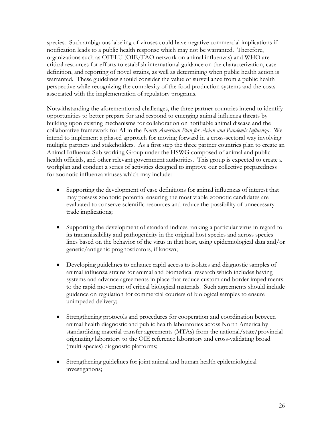species. Such ambiguous labeling of viruses could have negative commercial implications if notification leads to a public health response which may not be warranted. Therefore, organizations such as OFFLU (OIE/FAO network on animal influenzas) and WHO are critical resources for efforts to establish international guidance on the characterization, case definition, and reporting of novel strains, as well as determining when public health action is warranted. These guidelines should consider the value of surveillance from a public health perspective while recognizing the complexity of the food production systems and the costs associated with the implementation of regulatory programs.

Notwithstanding the aforementioned challenges, the three partner countries intend to identify opportunities to better prepare for and respond to emerging animal influenza threats by building upon existing mechanisms for collaboration on notifiable animal disease and the collaborative framework for AI in the *North American Plan for Avian and Pandemic Influenza*. We intend to implement a phased approach for moving forward in a cross-sectoral way involving multiple partners and stakeholders. As a first step the three partner countries plan to create an Animal Influenza Sub-working Group under the HSWG composed of animal and public health officials, and other relevant government authorities. This group is expected to create a workplan and conduct a series of activities designed to improve our collective preparedness for zoonotic influenza viruses which may include:

- Supporting the development of case definitions for animal influenzas of interest that may possess zoonotic potential ensuring the most viable zoonotic candidates are evaluated to conserve scientific resources and reduce the possibility of unnecessary trade implications;
- Supporting the development of standard indices ranking a particular virus in regard to its transmissibility and pathogenicity in the original host species and across species lines based on the behavior of the virus in that host, using epidemiological data and/or genetic/antigenic prognosticators, if known;
- Developing guidelines to enhance rapid access to isolates and diagnostic samples of animal influenza strains for animal and biomedical research which includes having systems and advance agreements in place that reduce custom and border impediments to the rapid movement of critical biological materials. Such agreements should include guidance on regulation for commercial couriers of biological samples to ensure unimpeded delivery;
- Strengthening protocols and procedures for cooperation and coordination between animal health diagnostic and public health laboratories across North America by standardizing material transfer agreements (MTAs) from the national/state/provincial originating laboratory to the OIE reference laboratory and cross-validating broad (multi-species) diagnostic platforms;
- Strengthening guidelines for joint animal and human health epidemiological investigations;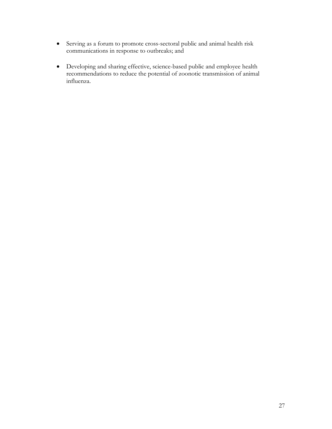- Serving as a forum to promote cross-sectoral public and animal health risk communications in response to outbreaks; and
- Developing and sharing effective, science-based public and employee health recommendations to reduce the potential of zoonotic transmission of animal influenza.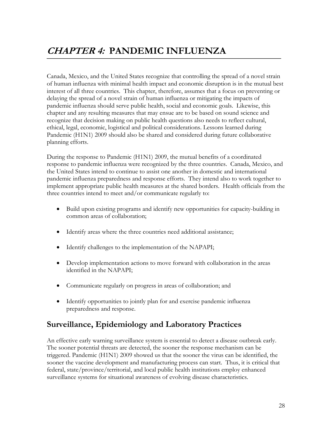# **CHAPTER 4: PANDEMIC INFLUENZA**

Canada, Mexico, and the United States recognize that controlling the spread of a novel strain of human influenza with minimal health impact and economic disruption is in the mutual best interest of all three countries. This chapter, therefore, assumes that a focus on preventing or delaying the spread of a novel strain of human influenza or mitigating the impacts of pandemic influenza should serve public health, social and economic goals. Likewise, this chapter and any resulting measures that may ensue are to be based on sound science and recognize that decision making on public health questions also needs to reflect cultural, ethical, legal, economic, logistical and political considerations. Lessons learned during Pandemic (H1N1) 2009 should also be shared and considered during future collaborative planning efforts.

During the response to Pandemic (H1N1) 2009, the mutual benefits of a coordinated response to pandemic influenza were recognized by the three countries. Canada, Mexico, and the United States intend to continue to assist one another in domestic and international pandemic influenza preparedness and response efforts. They intend also to work together to implement appropriate public health measures at the shared borders. Health officials from the three countries intend to meet and/or communicate regularly to:

- Build upon existing programs and identify new opportunities for capacity-building in common areas of collaboration;
- Identify areas where the three countries need additional assistance;
- Identify challenges to the implementation of the NAPAPI;
- Develop implementation actions to move forward with collaboration in the areas identified in the NAPAPI;
- Communicate regularly on progress in areas of collaboration; and
- Identify opportunities to jointly plan for and exercise pandemic influenza preparedness and response.

## **Surveillance, Epidemiology and Laboratory Practices**

An effective early warning surveillance system is essential to detect a disease outbreak early. The sooner potential threats are detected, the sooner the response mechanism can be triggered. Pandemic (H1N1) 2009 showed us that the sooner the virus can be identified, the sooner the vaccine development and manufacturing process can start. Thus, it is critical that federal, state/province/territorial, and local public health institutions employ enhanced surveillance systems for situational awareness of evolving disease characteristics.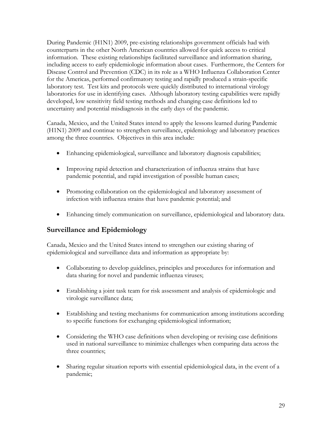During Pandemic (H1N1) 2009, pre-existing relationships government officials had with counterparts in the other North American countries allowed for quick access to critical information. These existing relationships facilitated surveillance and information sharing, including access to early epidemiologic information about cases. Furthermore, the Centers for Disease Control and Prevention (CDC) in its role as a WHO Influenza Collaboration Center for the Americas, performed confirmatory testing and rapidly produced a strain-specific laboratory test. Test kits and protocols were quickly distributed to international virology laboratories for use in identifying cases. Although laboratory testing capabilities were rapidly developed, low sensitivity field testing methods and changing case definitions led to uncertainty and potential misdiagnosis in the early days of the pandemic.

Canada, Mexico, and the United States intend to apply the lessons learned during Pandemic (H1N1) 2009 and continue to strengthen surveillance, epidemiology and laboratory practices among the three countries. Objectives in this area include:

- Enhancing epidemiological, surveillance and laboratory diagnosis capabilities;
- Improving rapid detection and characterization of influenza strains that have pandemic potential, and rapid investigation of possible human cases;
- Promoting collaboration on the epidemiological and laboratory assessment of infection with influenza strains that have pandemic potential; and
- Enhancing timely communication on surveillance, epidemiological and laboratory data.

#### **Surveillance and Epidemiology**

Canada, Mexico and the United States intend to strengthen our existing sharing of epidemiological and surveillance data and information as appropriate by:

- Collaborating to develop guidelines, principles and procedures for information and data sharing for novel and pandemic influenza viruses;
- Establishing a joint task team for risk assessment and analysis of epidemiologic and virologic surveillance data;
- Establishing and testing mechanisms for communication among institutions according to specific functions for exchanging epidemiological information;
- Considering the WHO case definitions when developing or revising case definitions used in national surveillance to minimize challenges when comparing data across the three countries;
- Sharing regular situation reports with essential epidemiological data, in the event of a pandemic;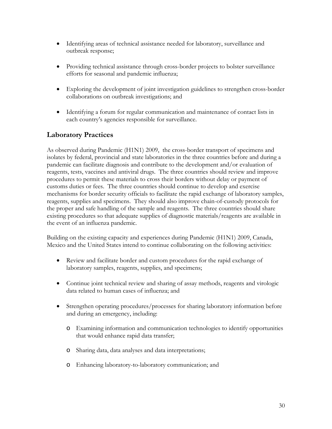- Identifying areas of technical assistance needed for laboratory, surveillance and outbreak response;
- Providing technical assistance through cross-border projects to bolster surveillance efforts for seasonal and pandemic influenza;
- Exploring the development of joint investigation guidelines to strengthen cross-border collaborations on outbreak investigations; and
- Identifying a forum for regular communication and maintenance of contact lists in each country's agencies responsible for surveillance.

#### **Laboratory Practices**

As observed during Pandemic (H1N1) 2009, the cross-border transport of specimens and isolates by federal, provincial and state laboratories in the three countries before and during a pandemic can facilitate diagnosis and contribute to the development and/or evaluation of reagents, tests, vaccines and antiviral drugs. The three countries should review and improve procedures to permit these materials to cross their borders without delay or payment of customs duties or fees. The three countries should continue to develop and exercise mechanisms for border security officials to facilitate the rapid exchange of laboratory samples, reagents, supplies and specimens. They should also improve chain-of-custody protocols for the proper and safe handling of the sample and reagents. The three countries should share existing procedures so that adequate supplies of diagnostic materials/reagents are available in the event of an influenza pandemic.

Building on the existing capacity and experiences during Pandemic (H1N1) 2009, Canada, Mexico and the United States intend to continue collaborating on the following activities:

- Review and facilitate border and custom procedures for the rapid exchange of laboratory samples, reagents, supplies, and specimens;
- Continue joint technical review and sharing of assay methods, reagents and virologic data related to human cases of influenza; and
- Strengthen operating procedures/processes for sharing laboratory information before and during an emergency, including:
	- o Examining information and communication technologies to identify opportunities that would enhance rapid data transfer;
	- o Sharing data, data analyses and data interpretations;
	- o Enhancing laboratory-to-laboratory communication; and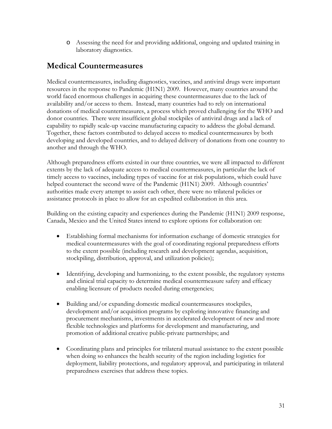o Assessing the need for and providing additional, ongoing and updated training in laboratory diagnostics.

### **Medical Countermeasures**

Medical countermeasures, including diagnostics, vaccines, and antiviral drugs were important resources in the response to Pandemic (H1N1) 2009. However, many countries around the world faced enormous challenges in acquiring these countermeasures due to the lack of availability and/or access to them. Instead, many countries had to rely on international donations of medical countermeasures, a process which proved challenging for the WHO and donor countries. There were insufficient global stockpiles of antiviral drugs and a lack of capability to rapidly scale-up vaccine manufacturing capacity to address the global demand. Together, these factors contributed to delayed access to medical countermeasures by both developing and developed countries, and to delayed delivery of donations from one country to another and through the WHO.

Although preparedness efforts existed in our three countries, we were all impacted to different extents by the lack of adequate access to medical countermeasures, in particular the lack of timely access to vaccines, including types of vaccine for at risk populations, which could have helped counteract the second wave of the Pandemic (H1N1) 2009. Although countries' authorities made every attempt to assist each other, there were no trilateral policies or assistance protocols in place to allow for an expedited collaboration in this area.

Building on the existing capacity and experiences during the Pandemic (H1N1) 2009 response, Canada, Mexico and the United States intend to explore options for collaboration on:

- Establishing formal mechanisms for information exchange of domestic strategies for medical countermeasures with the goal of coordinating regional preparedness efforts to the extent possible (including research and development agendas, acquisition, stockpiling, distribution, approval, and utilization policies);
- Identifying, developing and harmonizing, to the extent possible, the regulatory systems and clinical trial capacity to determine medical countermeasure safety and efficacy enabling licensure of products needed during emergencies;
- Building and/or expanding domestic medical countermeasures stockpiles, development and/or acquisition programs by exploring innovative financing and procurement mechanisms, investments in accelerated development of new and more flexible technologies and platforms for development and manufacturing, and promotion of additional creative public-private partnerships; and
- Coordinating plans and principles for trilateral mutual assistance to the extent possible when doing so enhances the health security of the region including logistics for deployment, liability protections, and regulatory approval, and participating in trilateral preparedness exercises that address these topics.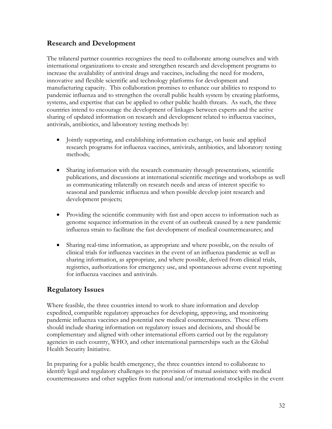#### **Research and Development**

The trilateral partner countries recognizes the need to collaborate among ourselves and with international organizations to create and strengthen research and development programs to increase the availability of antiviral drugs and vaccines, including the need for modern, innovative and flexible scientific and technology platforms for development and manufacturing capacity. This collaboration promises to enhance our abilities to respond to pandemic influenza and to strengthen the overall public health system by creating platforms, systems, and expertise that can be applied to other public health threats. As such, the three countries intend to encourage the development of linkages between experts and the active sharing of updated information on research and development related to influenza vaccines, antivirals, antibiotics, and laboratory testing methods by:

- Jointly supporting, and establishing information exchange, on basic and applied research programs for influenza vaccines, antivirals, antibiotics, and laboratory testing methods;
- Sharing information with the research community through presentations, scientific publications, and discussions at international scientific meetings and workshops as well as communicating trilaterally on research needs and areas of interest specific to seasonal and pandemic influenza and when possible develop joint research and development projects;
- Providing the scientific community with fast and open access to information such as genome sequence information in the event of an outbreak caused by a new pandemic influenza strain to facilitate the fast development of medical countermeasures; and
- Sharing real-time information, as appropriate and where possible, on the results of clinical trials for influenza vaccines in the event of an influenza pandemic as well as sharing information, as appropriate, and where possible, derived from clinical trials, registries, authorizations for emergency use, and spontaneous adverse event reporting for influenza vaccines and antivirals.

#### **Regulatory Issues**

Where feasible, the three countries intend to work to share information and develop expedited, compatible regulatory approaches for developing, approving, and monitoring pandemic influenza vaccines and potential new medical countermeasures. These efforts should include sharing information on regulatory issues and decisions, and should be complementary and aligned with other international efforts carried out by the regulatory agencies in each country, WHO, and other international partnerships such as the Global Health Security Initiative.

In preparing for a public health emergency, the three countries intend to collaborate to identify legal and regulatory challenges to the provision of mutual assistance with medical countermeasures and other supplies from national and/or international stockpiles in the event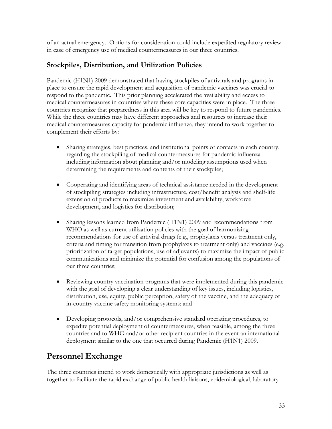of an actual emergency. Options for consideration could include expedited regulatory review in case of emergency use of medical countermeasures in our three countries.

### **Stockpiles, Distribution, and Utilization Policies**

Pandemic (H1N1) 2009 demonstrated that having stockpiles of antivirals and programs in place to ensure the rapid development and acquisition of pandemic vaccines was crucial to respond to the pandemic. This prior planning accelerated the availability and access to medical countermeasures in countries where these core capacities were in place. The three countries recognize that preparedness in this area will be key to respond to future pandemics. While the three countries may have different approaches and resources to increase their medical countermeasures capacity for pandemic influenza, they intend to work together to complement their efforts by:

- Sharing strategies, best practices, and institutional points of contacts in each country, regarding the stockpiling of medical countermeasures for pandemic influenza including information about planning and/or modeling assumptions used when determining the requirements and contents of their stockpiles;
- Cooperating and identifying areas of technical assistance needed in the development of stockpiling strategies including infrastructure, cost/benefit analysis and shelf-life extension of products to maximize investment and availability, workforce development, and logistics for distribution;
- Sharing lessons learned from Pandemic (H1N1) 2009 and recommendations from WHO as well as current utilization policies with the goal of harmonizing recommendations for use of antiviral drugs (e.g., prophylaxis versus treatment only, criteria and timing for transition from prophylaxis to treatment only) and vaccines (e.g. prioritization of target populations, use of adjuvants) to maximize the impact of public communications and minimize the potential for confusion among the populations of our three countries;
- Reviewing country vaccination programs that were implemented during this pandemic with the goal of developing a clear understanding of key issues, including logistics, distribution, use, equity, public perception, safety of the vaccine, and the adequacy of in-country vaccine safety monitoring systems; and
- Developing protocols, and/or comprehensive standard operating procedures, to expedite potential deployment of countermeasures, when feasible, among the three countries and to WHO and/or other recipient countries in the event an international deployment similar to the one that occurred during Pandemic (H1N1) 2009.

## **Personnel Exchange**

The three countries intend to work domestically with appropriate jurisdictions as well as together to facilitate the rapid exchange of public health liaisons, epidemiological, laboratory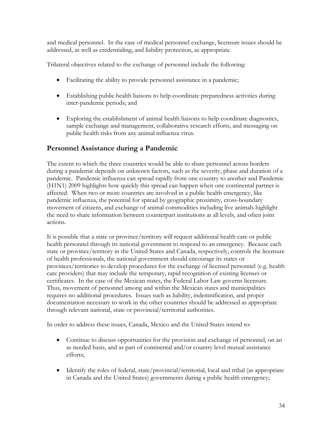and medical personnel. In the case of medical personnel exchange, licensure issues should be addressed, as well as credentialing, and liability protection, as appropriate.

Trilateral objectives related to the exchange of personnel include the following:

- Facilitating the ability to provide personnel assistance in a pandemic;
- Establishing public health liaisons to help coordinate preparedness activities during inter-pandemic periods; and
- Exploring the establishment of animal health liaisons to help coordinate diagnostics, sample exchange and management, collaborative research efforts, and messaging on public health risks from any animal influenza virus.

## **Personnel Assistance during a Pandemic**

The extent to which the three countries would be able to share personnel across borders during a pandemic depends on unknown factors, such as the severity, phase and duration of a pandemic. Pandemic influenza can spread rapidly from one country to another and Pandemic (H1N1) 2009 highlights how quickly this spread can happen when one continental partner is affected. When two or more countries are involved in a public health emergency, like pandemic influenza, the potential for spread by geographic proximity, cross-boundary movement of citizens, and exchange of animal commodities including live animals highlight the need to share information between counterpart institutions at all levels, and often joint actions.

It is possible that a state or province/territory will request additional health care or public health personnel through its national government to respond to an emergency. Because each state or province/territory in the United States and Canada, respectively, controls the licensure of health professionals, the national government should encourage its states or provinces/territories to develop procedures for the exchange of licensed personnel (e.g. health care providers) that may include the temporary, rapid recognition of existing licenses or certificates. In the case of the Mexican states, the Federal Labor Law governs licensure. Thus, movement of personnel among and within the Mexican states and municipalities requires no additional procedures. Issues such as liability, indemnification, and proper documentation necessary to work in the other countries should be addressed as appropriate through relevant national, state or provincial/territorial authorities.

In order to address these issues, Canada, Mexico and the United States intend to:

- Continue to discuss opportunities for the provision and exchange of personnel, on an as needed basis, and as part of continental and/or country level mutual assistance efforts;
- Identify the roles of federal, state/provincial/territorial, local and tribal (as appropriate in Canada and the United States) governments during a public health emergency;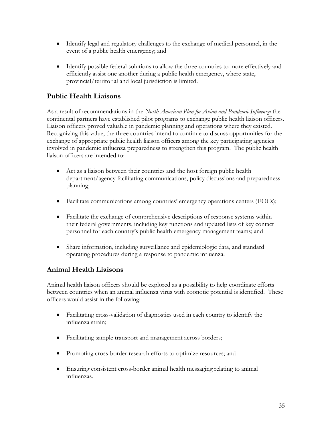- Identify legal and regulatory challenges to the exchange of medical personnel, in the event of a public health emergency; and
- Identify possible federal solutions to allow the three countries to more effectively and efficiently assist one another during a public health emergency, where state, provincial/territorial and local jurisdiction is limited.

## **Public Health Liaisons**

continental partners have established pilot programs to exchange public health liaison officers. As a result of recommendations in the *North American Plan for Avian and Pandemic Influenza* the Liaison officers proved valuable in pandemic planning and operations where they existed. Recognizing this value, the three countries intend to continue to discuss opportunities for the exchange of appropriate public health liaison officers among the key participating agencies involved in pandemic influenza preparedness to strengthen this program. The public health liaison officers are intended to:

- Act as a liaison between their countries and the host foreign public health department/agency facilitating communications, policy discussions and preparedness planning;
- Facilitate communications among countries' emergency operations centers (EOCs);
- Facilitate the exchange of comprehensive descriptions of response systems within their federal governments, including key functions and updated lists of key contact personnel for each country's public health emergency management teams; and
- Share information, including surveillance and epidemiologic data, and standard operating procedures during a response to pandemic influenza.

## **Animal Health Liaisons**

Animal health liaison officers should be explored as a possibility to help coordinate efforts between countries when an animal influenza virus with zoonotic potential is identified. These officers would assist in the following:

- Facilitating cross-validation of diagnostics used in each country to identify the influenza strain;
- Facilitating sample transport and management across borders;
- Promoting cross-border research efforts to optimize resources; and
- Ensuring consistent cross-border animal health messaging relating to animal influenzas.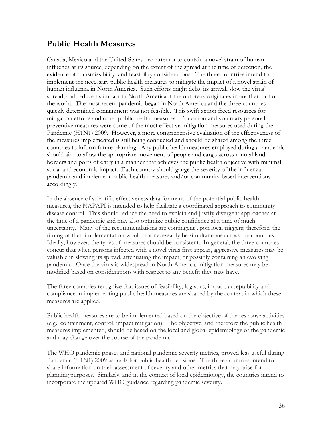## **Public Health Measures**

Canada, Mexico and the United States may attempt to contain a novel strain of human influenza at its source, depending on the extent of the spread at the time of detection, the evidence of transmissibility, and feasibility considerations. The three countries intend to implement the necessary public health measures to mitigate the impact of a novel strain of human influenza in North America. Such efforts might delay its arrival, slow the virus' spread, and reduce its impact in North America if the outbreak originates in another part of the world. The most recent pandemic began in North America and the three countries quickly determined containment was not feasible. This swift action freed resources for mitigation efforts and other public health measures. Education and voluntary personal preventive measures were some of the most effective mitigation measures used during the Pandemic (H1N1) 2009. However, a more comprehensive evaluation of the effectiveness of the measures implemented is still being conducted and should be shared among the three countries to inform future planning. Any public health measures employed during a pandemic should aim to allow the appropriate movement of people and cargo across mutual land borders and ports of entry in a manner that achieves the public health objective with minimal social and economic impact. Each country should gauge the severity of the influenza pandemic and implement public health measures and/or community-based interventions accordingly.

In the absence of scientific effectiveness data for many of the potential public health measures, the NAPAPI is intended to help facilitate a coordinated approach to community disease control. This should reduce the need to explain and justify divergent approaches at the time of a pandemic and may also optimize public confidence at a time of much uncertainty. Many of the recommendations are contingent upon local triggers; therefore, the timing of their implementation would not necessarily be simultaneous across the countries. Ideally, however, the types of measures should be consistent. In general, the three countries concur that when persons infected with a novel virus first appear, aggressive measures may be valuable in slowing its spread, attenuating the impact, or possibly containing an evolving pandemic. Once the virus is widespread in North America, mitigation measures may be modified based on considerations with respect to any benefit they may have.

The three countries recognize that issues of feasibility, logistics, impact, acceptability and compliance in implementing public health measures are shaped by the context in which these measures are applied.

Public health measures are to be implemented based on the objective of the response activities (e.g., containment, control, impact mitigation). The objective, and therefore the public health measures implemented, should be based on the local and global epidemiology of the pandemic and may change over the course of the pandemic.

The WHO pandemic phases and national pandemic severity metrics, proved less useful during Pandemic (H1N1) 2009 as tools for public health decisions. The three countries intend to share information on their assessment of severity and other metrics that may arise for planning purposes. Similarly, and in the context of local epidemiology, the countries intend to incorporate the updated WHO guidance regarding pandemic severity.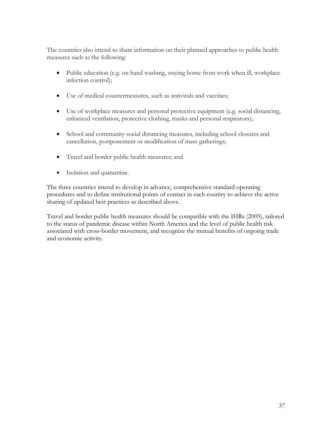The countries also intend to share information on their planned approaches to public health measures such as the following:

- Public education (e.g. on hand washing, staying home from work when ill, workplace infection control);
- Use of medical countermeasures, such as antivirals and vaccines;
- Use of workplace measures and personal protective equipment (e.g. social distancing, enhanced ventilation, protective clothing, masks and personal respirators);
- School and community social distancing measures, including school closures and cancellation, postponement or modification of mass gatherings;
- Travel and border public health measures; and
- Isolation and quarantine.

The three countries intend to develop in advance, comprehensive standard operating procedures and to define institutional points of contact in each country to achieve the active sharing of updated best practices as described above.

Travel and border public health measures should be compatible with the IHRs (2005), tailored to the status of pandemic disease within North America and the level of public health risk associated with cross-border movement, and recognize the mutual benefits of ongoing trade and economic activity.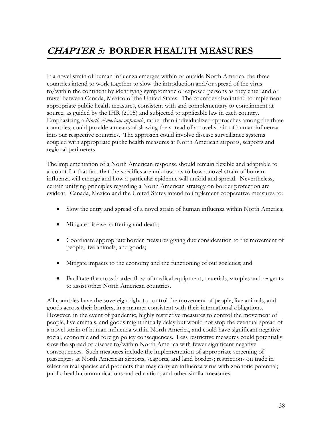If a novel strain of human influenza emerges within or outside North America, the three countries intend to work together to slow the introduction and/or spread of the virus to/within the continent by identifying symptomatic or exposed persons as they enter and or travel between Canada, Mexico or the United States. The countries also intend to implement appropriate public health measures, consistent with and complementary to containment at source, as guided by the IHR (2005) and subjected to applicable law in each country. Emphasizing a *North American approach*, rather than individualized approaches among the three countries, could provide a means of slowing the spread of a novel strain of human influenza into our respective countries. The approach could involve disease surveillance systems coupled with appropriate public health measures at North American airports, seaports and regional perimeters.

The implementation of a North American response should remain flexible and adaptable to account for that fact that the specifics are unknown as to how a novel strain of human influenza will emerge and how a particular epidemic will unfold and spread. Nevertheless, certain unifying principles regarding a North American strategy on border protection are evident. Canada, Mexico and the United States intend to implement cooperative measures to:

- Slow the entry and spread of a novel strain of human influenza within North America;
- Mitigate disease, suffering and death;
- Coordinate appropriate border measures giving due consideration to the movement of people, live animals, and goods;
- Mitigate impacts to the economy and the functioning of our societies; and
- Facilitate the cross-border flow of medical equipment, materials, samples and reagents to assist other North American countries.

All countries have the sovereign right to control the movement of people, live animals, and goods across their borders, in a manner consistent with their international obligations. However, in the event of pandemic, highly restrictive measures to control the movement of people, live animals, and goods might initially delay but would not stop the eventual spread of a novel strain of human influenza within North America, and could have significant negative social, economic and foreign policy consequences. Less restrictive measures could potentially slow the spread of disease to/within North America with fewer significant negative consequences. Such measures include the implementation of appropriate screening of passengers at North American airports, seaports, and land borders; restrictions on trade in select animal species and products that may carry an influenza virus with zoonotic potential; public health communications and education; and other similar measures.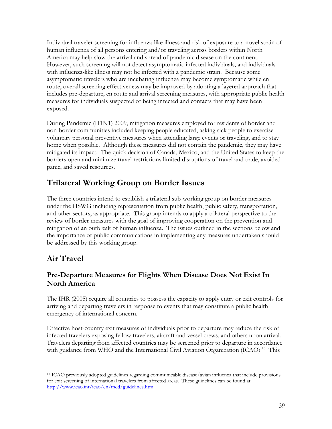Individual traveler screening for influenza-like illness and risk of exposure to a novel strain of human influenza of all persons entering and/or traveling across borders within North America may help slow the arrival and spread of pandemic disease on the continent. However, such screening will not detect asymptomatic infected individuals, and individuals with influenza-like illness may not be infected with a pandemic strain. Because some asymptomatic travelers who are incubating influenza may become symptomatic while en route, overall screening effectiveness may be improved by adopting a layered approach that includes pre-departure, en route and arrival screening measures, with appropriate public health measures for individuals suspected of being infected and contacts that may have been exposed.

During Pandemic (H1N1) 2009, mitigation measures employed for residents of border and non-border communities included keeping people educated, asking sick people to exercise voluntary personal preventive measures when attending large events or traveling, and to stay home when possible. Although these measures did not contain the pandemic, they may have mitigated its impact. The quick decision of Canada, Mexico, and the United States to keep the borders open and minimize travel restrictions limited disruptions of travel and trade, avoided panic, and saved resources.

# **Trilateral Working Group on Border Issues**

 be addressed by this working group. The three countries intend to establish a trilateral sub-working group on border measures under the HSWG including representation from public health, public safety, transportation, and other sectors, as appropriate. This group intends to apply a trilateral perspective to the review of border measures with the goal of improving cooperation on the prevention and mitigation of an outbreak of human influenza. The issues outlined in the sections below and the importance of public communications in implementing any measures undertaken should

# **Air Travel**

## **Pre-Departure Measures for Flights When Disease Does Not Exist In North America**

The IHR (2005) require all countries to possess the capacity to apply entry or exit controls for arriving and departing travelers in response to events that may constitute a public health emergency of international concern.

Effective host-country exit measures of individuals prior to departure may reduce the risk of infected travelers exposing fellow travelers, aircraft and vessel crews, and others upon arrival. Travelers departing from affected countries may be screened prior to departure in accordance with guidance from WHO and the International Civil Aviation Organization (ICAO).<sup>15</sup> This

 $\overline{a}$ 15 ICAO previously adopted guidelines regarding communicable disease/avian influenza that include provisions for exit screening of international travelers from affected areas. These guidelines can be found at http://www.icao.int/icao/en/med/guidelines.htm.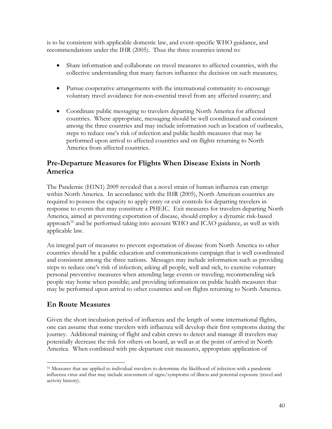is to be consistent with applicable domestic law, and event-specific WHO guidance, and recommendations under the IHR (2005). Thus the three countries intend to:

- Share information and collaborate on travel measures to affected countries, with the collective understanding that many factors influence the decision on such measures;
- Pursue cooperative arrangements with the international community to encourage voluntary travel avoidance for non-essential travel from any affected country; and
- Coordinate public messaging to travelers departing North America for affected countries. Where appropriate, messaging should be well coordinated and consistent among the three countries and may include information such as location of outbreaks, steps to reduce one's risk of infection and public health measures that may be performed upon arrival to affected countries and on flights returning to North America from affected countries.

## **Pre-Departure Measures for Flights When Disease Exists in North America**

The Pandemic (H1N1) 2009 revealed that a novel strain of human influenza can emerge within North America. In accordance with the IHR (2005), North American countries are required to possess the capacity to apply entry or exit controls for departing travelers in response to events that may constitute a PHEIC. Exit measures for travelers departing North America, aimed at preventing exportation of disease, should employ a dynamic risk-based approach<sup>16</sup> and be performed taking into account WHO and ICAO guidance, as well as with applicable law.

An integral part of measures to prevent exportation of disease from North America to other countries should be a public education and communications campaign that is well coordinated and consistent among the three nations. Messages may include information such as providing steps to reduce one's risk of infection; asking all people, well and sick, to exercise voluntary personal preventive measures when attending large events or traveling; recommending sick people stay home when possible; and providing information on public health measures that may be performed upon arrival to other countries and on flights returning to North America.

## **En Route Measures**

 $\overline{a}$ 

Given the short incubation period of influenza and the length of some international flights, one can assume that some travelers with influenza will develop their first symptoms during the journey. Additional training of flight and cabin crews to detect and manage ill travelers may potentially decrease the risk for others on board, as well as at the point of arrival in North America. When combined with pre-departure exit measures, appropriate application of

<sup>16</sup> Measures that are applied to individual travelers to determine the likelihood of infection with a pandemic influenza virus and that may include assessment of signs/symptoms of illness and potential exposure (travel and activity history).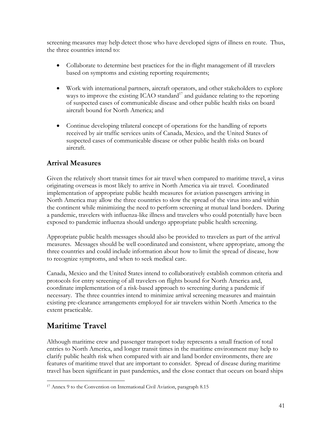screening measures may help detect those who have developed signs of illness en route. Thus, the three countries intend to:

- Collaborate to determine best practices for the in-flight management of ill travelers based on symptoms and existing reporting requirements;
- Work with international partners, aircraft operators, and other stakeholders to explore ways to improve the existing ICAO standard<sup>17</sup> and guidance relating to the reporting of suspected cases of communicable disease and other public health risks on board aircraft bound for North America; and
- Continue developing trilateral concept of operations for the handling of reports received by air traffic services units of Canada, Mexico, and the United States of suspected cases of communicable disease or other public health risks on board aircraft.

## **Arrival Measures**

Given the relatively short transit times for air travel when compared to maritime travel, a virus originating overseas is most likely to arrive in North America via air travel. Coordinated implementation of appropriate public health measures for aviation passengers arriving in North America may allow the three countries to slow the spread of the virus into and within the continent while minimizing the need to perform screening at mutual land borders. During a pandemic, travelers with influenza-like illness and travelers who could potentially have been exposed to pandemic influenza should undergo appropriate public health screening.

Appropriate public health messages should also be provided to travelers as part of the arrival measures. Messages should be well coordinated and consistent, where appropriate, among the three countries and could include information about how to limit the spread of disease, how to recognize symptoms, and when to seek medical care.

Canada, Mexico and the United States intend to collaboratively establish common criteria and protocols for entry screening of all travelers on flights bound for North America and, coordinate implementation of a risk-based approach to screening during a pandemic if necessary. The three countries intend to minimize arrival screening measures and maintain existing pre-clearance arrangements employed for air travelers within North America to the extent practicable.

# **Maritime Travel**

Although maritime crew and passenger transport today represents a small fraction of total entries to North America, and longer transit times in the maritime environment may help to clarify public health risk when compared with air and land border environments, there are features of maritime travel that are important to consider. Spread of disease during maritime travel has been significant in past pandemics, and the close contact that occurs on board ships

 $\overline{a}$ 17 Annex 9 to the Convention on International Civil Aviation, paragraph 8.15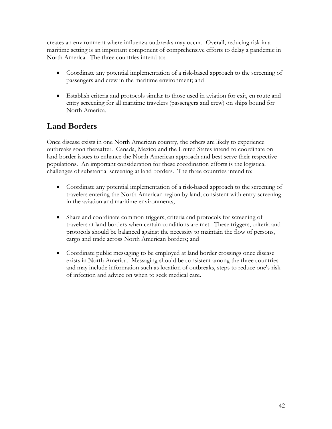creates an environment where influenza outbreaks may occur. Overall, reducing risk in a maritime setting is an important component of comprehensive efforts to delay a pandemic in North America. The three countries intend to:

- Coordinate any potential implementation of a risk-based approach to the screening of passengers and crew in the maritime environment; and
- Establish criteria and protocols similar to those used in aviation for exit, en route and entry screening for all maritime travelers (passengers and crew) on ships bound for North America.

# **Land Borders**

Once disease exists in one North American country, the others are likely to experience outbreaks soon thereafter. Canada, Mexico and the United States intend to coordinate on land border issues to enhance the North American approach and best serve their respective populations. An important consideration for these coordination efforts is the logistical challenges of substantial screening at land borders. The three countries intend to:

- Coordinate any potential implementation of a risk-based approach to the screening of travelers entering the North American region by land, consistent with entry screening in the aviation and maritime environments;
- Share and coordinate common triggers, criteria and protocols for screening of travelers at land borders when certain conditions are met. These triggers, criteria and protocols should be balanced against the necessity to maintain the flow of persons, cargo and trade across North American borders; and
- Coordinate public messaging to be employed at land border crossings once disease exists in North America. Messaging should be consistent among the three countries and may include information such as location of outbreaks, steps to reduce one's risk of infection and advice on when to seek medical care.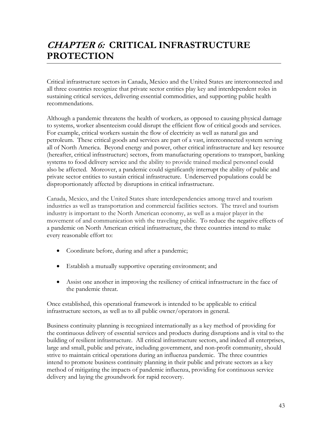# **CHAPTER 6: CRITICAL INFRASTRUCTURE PROTECTION**

Critical infrastructure sectors in Canada, Mexico and the United States are interconnected and all three countries recognize that private sector entities play key and interdependent roles in sustaining critical services, delivering essential commodities, and supporting public health recommendations.

Although a pandemic threatens the health of workers, as opposed to causing physical damage to systems, worker absenteeism could disrupt the efficient flow of critical goods and services. For example, critical workers sustain the flow of electricity as well as natural gas and petroleum. These critical goods and services are part of a vast, interconnected system serving all of North America. Beyond energy and power, other critical infrastructure and key resource (hereafter, critical infrastructure) sectors, from manufacturing operations to transport, banking systems to food delivery service and the ability to provide trained medical personnel could also be affected. Moreover, a pandemic could significantly interrupt the ability of public and private sector entities to sustain critical infrastructure. Underserved populations could be disproportionately affected by disruptions in critical infrastructure.

Canada, Mexico, and the United States share interdependencies among travel and tourism industries as well as transportation and commercial facilities sectors. The travel and tourism industry is important to the North American economy, as well as a major player in the movement of and communication with the traveling public. To reduce the negative effects of a pandemic on North American critical infrastructure, the three countries intend to make every reasonable effort to:

- Coordinate before, during and after a pandemic;
- Establish a mutually supportive operating environment; and
- Assist one another in improving the resiliency of critical infrastructure in the face of the pandemic threat.

Once established, this operational framework is intended to be applicable to critical infrastructure sectors, as well as to all public owner/operators in general.

Business continuity planning is recognized internationally as a key method of providing for the continuous delivery of essential services and products during disruptions and is vital to the building of resilient infrastructure. All critical infrastructure sectors, and indeed all enterprises, large and small, public and private, including government, and non-profit community, should strive to maintain critical operations during an influenza pandemic. The three countries intend to promote business continuity planning in their public and private sectors as a key method of mitigating the impacts of pandemic influenza, providing for continuous service delivery and laying the groundwork for rapid recovery.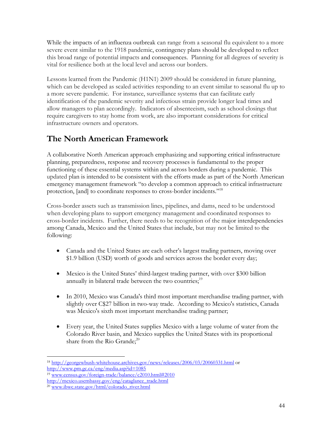While the impacts of an influenza outbreak can range from a seasonal flu equivalent to a more severe event similar to the 1918 pandemic, contingency plans should be developed to reflect this broad range of potential impacts and consequences. Planning for all degrees of severity is vital for resilience both at the local level and across our borders.

Lessons learned from the Pandemic (H1N1) 2009 should be considered in future planning, which can be developed as scaled activities responding to an event similar to seasonal flu up to a more severe pandemic. For instance, surveillance systems that can facilitate early identification of the pandemic severity and infectious strain provide longer lead times and allow managers to plan accordingly. Indicators of absenteeism, such as school closings that require caregivers to stay home from work, are also important considerations for critical infrastructure owners and operators.

# **The North American Framework**

 protection, [and] to coordinate responses to cross-border incidents."18 A collaborative North American approach emphasizing and supporting critical infrastructure planning, preparedness, response and recovery processes is fundamental to the proper functioning of these essential systems within and across borders during a pandemic. This updated plan is intended to be consistent with the efforts made as part of the North American emergency management framework "to develop a common approach to critical infrastructure

Cross-border assets such as transmission lines, pipelines, and dams, need to be understood when developing plans to support emergency management and coordinated responses to cross-border incidents. Further, there needs to be recognition of the major interdependencies among Canada, Mexico and the United States that include, but may not be limited to the following:

- Canada and the United States are each other's largest trading partners, moving over \$1.9 billion (USD) worth of goods and services across the border every day;
- Mexico is the United States' third-largest trading partner, with over \$300 billion annually in bilateral trade between the two countries; $1<sup>9</sup>$
- In 2010, Mexico was Canada's third most important merchandise trading partner, with slightly over C\$27 billion in two-way trade. According to Mexico's statistics, Canada was Mexico's sixth most important merchandise trading partner;
- Every year, the United States supplies Mexico with a large volume of water from the Colorado River basin, and Mexico supplies the United States with its proportional share from the Rio Grande; $^{20}$

 $\overline{a}$ http://www.pm.gc.ca/eng/media.asp?id= $1085$ 18 http://georgewbush-whitehouse.archives.gov/news/releases/2006/03/20060331.html or

 $h^{19}$  www.census.gov/foreign-trade/balance/c2010.html#2010

http://mexico.usembassy.gov/eng/eataglance\_trade.html http://mexico.usembassy.gov/eng/eataglance\_trade.html<br><sup>20</sup> www.ibwc.state.gov/html/colorado\_river.html 44

<sup>&</sup>lt;sup>20</sup> www.ibwc.state.gov/html/colorado\_river.html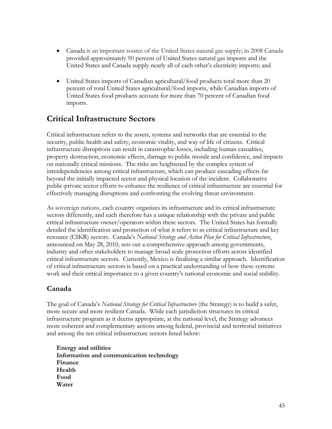- Canada is an important source of the United States natural gas supply; in 2008 Canada provided approximately 90 percent of United States natural gas imports and the United States and Canada supply nearly all of each other's electricity imports; and
- United States imports of Canadian agricultural/food products total more than 20 percent of total United States agricultural/food imports, while Canadian imports of United States food products account for more than 70 percent of Canadian food imports.

# **Critical Infrastructure Sectors**

Critical infrastructure refers to the assets, systems and networks that are essential to the security, public health and safety, economic vitality, and way of life of citizens. Critical infrastructure disruptions can result in catastrophic losses, including human casualties, property destruction, economic effects, damage to public morale and confidence, and impacts on nationally critical missions. The risks are heightened by the complex system of interdependencies among critical infrastructure, which can produce cascading effects far beyond the initially impacted sector and physical location of the incident. Collaborative public-private sector efforts to enhance the resilience of critical infrastructure are essential for effectively managing disruptions and confronting the evolving threat environment.

As sovereign nations, each country organizes its infrastructure and its critical infrastructure sectors differently, and each therefore has a unique relationship with the private and public critical infrastructure owner/operators within these sectors. The United States has formally detailed the identification and protection of what it refers to as critical infrastructure and key resource (CIKR) sectors. Canada's *National Strategy and Action Plan for Critical Infrastructure*, announced on May 28, 2010, sets out a comprehensive approach among governments, industry and other stakeholders to manage broad scale protection efforts across identified critical infrastructure sectors. Currently, Mexico is finalizing a similar approach. Identification of critical infrastructure sectors is based on a practical understanding of how these systems work and their critical importance to a given country's national economic and social stability.

### **Canada**

The goal of Canada's *National Strategy for Critical Infrastructure* (the Strategy) is to build a safer, more secure and more resilient Canada. While each jurisdiction structures its critical infrastructure program as it deems appropriate, at the national level, the Strategy advances more coherent and complementary actions among federal, provincial and territorial initiatives and among the ten critical infrastructure sectors listed below:

**Energy and utilities Information and communication technology Finance Health Food Water**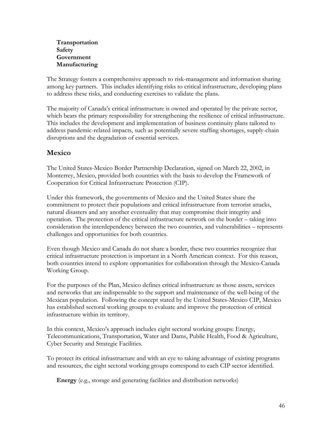**Transportation Safety Government Manufacturing** 

The Strategy fosters a comprehensive approach to risk-management and information sharing among key partners. This includes identifying risks to critical infrastructure, developing plans to address these risks, and conducting exercises to validate the plans.

The majority of Canada's critical infrastructure is owned and operated by the private sector, which bears the primary responsibility for strengthening the resilience of critical infrastructure. This includes the development and implementation of business continuity plans tailored to address pandemic-related impacts, such as potentially severe staffing shortages, supply-chain disruptions and the degradation of essential services.

## **Mexico**

The United States-Mexico Border Partnership Declaration, signed on March 22, 2002, in Monterrey, Mexico, provided both countries with the basis to develop the Framework of Cooperation for Critical Infrastructure Protection (CIP).

Under this framework, the governments of Mexico and the United States share the commitment to protect their populations and critical infrastructure from terrorist attacks, natural disasters and any another eventuality that may compromise their integrity and operation. The protection of the critical infrastructure network on the border – taking into consideration the interdependency between the two countries, and vulnerabilities – represents challenges and opportunities for both countries.

Even though Mexico and Canada do not share a border, these two countries recognize that critical infrastructure protection is important in a North American context. For this reason, both countries intend to explore opportunities for collaboration through the Mexico-Canada Working Group.

For the purposes of the Plan, Mexico defines critical infrastructure as those assets, services and networks that are indispensable to the support and maintenance of the well-being of the Mexican population. Following the concept stated by the United States-Mexico CIP, Mexico has established sectoral working groups to evaluate and improve the protection of critical infrastructure within its territory.

In this context, Mexico's approach includes eight sectoral working groups: Energy, Telecommunications, Transportation, Water and Dams, Public Health, Food & Agriculture, Cyber Security and Strategic Facilities.

To protect its critical infrastructure and with an eye to taking advantage of existing programs and resources, the eight sectoral working groups correspond to each CIP sector identified.

**Energy** (e.g., storage and generating facilities and distribution networks)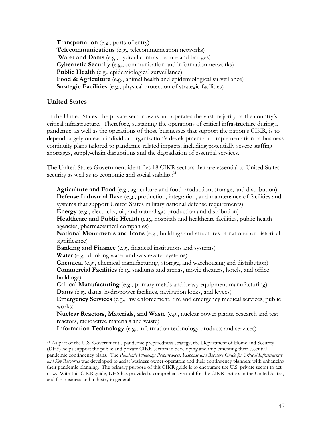**Transportation** (e.g., ports of entry) **Telecommunications** (e.g., telecommunication networks) **Water and Dams** (e.g., hydraulic infrastructure and bridges) **Cybernetic Security** (e.g., communication and information networks) **Public Health** (e.g., epidemiological surveillance) **Food & Agriculture** (e.g., animal health and epidemiological surveillance) **Strategic Facilities** (e.g., physical protection of strategic facilities)

### **United States**

 $\overline{a}$ 

In the United States, the private sector owns and operates the vast majority of the country's critical infrastructure. Therefore, sustaining the operations of critical infrastructure during a pandemic, as well as the operations of those businesses that support the nation's CIKR, is to depend largely on each individual organization's development and implementation of business continuity plans tailored to pandemic-related impacts, including potentially severe staffing shortages, supply-chain disruptions and the degradation of essential services.

security as well as to economic and social stability:<sup>21</sup> The United States Government identifies 18 CIKR sectors that are essential to United States

**Agriculture and Food** (e.g., agriculture and food production, storage, and distribution) **Defense Industrial Base** (e.g., production, integration, and maintenance of facilities and systems that support United States military national defense requirements) **Energy** (e.g., electricity, oil, and natural gas production and distribution) Healthcare and Public Health (e.g., hospitals and healthcare facilities, public health agencies, pharmaceutical companies) **National Monuments and Icons** (e.g., buildings and structures of national or historical significance) **Banking and Finance** (e.g., financial institutions and systems) **Water** (e.g., drinking water and wastewater systems) **Chemical** (e.g., chemical manufacturing, storage, and warehousing and distribution) **Commercial Facilities** (e.g., stadiums and arenas, movie theaters, hotels, and office buildings) **Critical Manufacturing** (e.g., primary metals and heavy equipment manufacturing) **Dams** (e.g., dams, hydropower facilities, navigation locks, and levees) **Emergency Services** (e.g., law enforcement, fire and emergency medical services, public works) **Nuclear Reactors, Materials, and Waste** (e.g., nuclear power plants, research and test reactors, radioactive materials and waste) **Information Technology** (e.g., information technology products and services)

 their pandemic planning. The primary purpose of this CIKR guide is to encourage the U.S. private sector to act <sup>21</sup> As part of the U.S. Government's pandemic preparedness strategy, the Department of Homeland Security (DHS) helps support the public and private CIKR sectors in developing and implementing their essential pandemic contingency plans. The *Pandemic Influenza Preparedness, Response and Recovery Guide for Critical Infrastructure and Key Resources* was developed to assist business owner-operators and their contingency planners with enhancing now. With this CIKR guide, DHS has provided a comprehensive tool for the CIKR sectors in the United States, and for business and industry in general.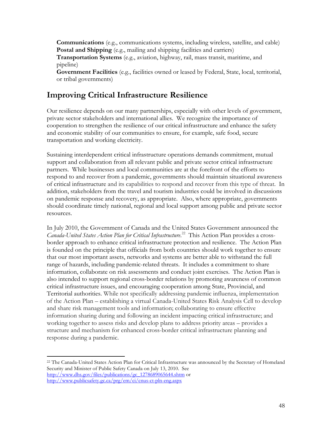**Communications** (e.g., communications systems, including wireless, satellite, and cable) **Postal and Shipping** (e.g., mailing and shipping facilities and carriers)

**Transportation Systems** (e.g., aviation, highway, rail, mass transit, maritime, and pipeline)

**Government Facilities** (e.g., facilities owned or leased by Federal, State, local, territorial, or tribal governments)

# **Improving Critical Infrastructure Resilience**

Our resilience depends on our many partnerships, especially with other levels of government, private sector stakeholders and international allies. We recognize the importance of cooperation to strengthen the resilience of our critical infrastructure and enhance the safety and economic stability of our communities to ensure, for example, safe food, secure transportation and working electricity.

Sustaining interdependent critical infrastructure operations demands commitment, mutual support and collaboration from all relevant public and private sector critical infrastructure partners. While businesses and local communities are at the forefront of the efforts to respond to and recover from a pandemic, governments should maintain situational awareness of critical infrastructure and its capabilities to respond and recover from this type of threat. In addition, stakeholders from the travel and tourism industries could be involved in discussions on pandemic response and recovery, as appropriate. Also, where appropriate, governments should coordinate timely national, regional and local support among public and private sector resources.

In July 2010, the Government of Canada and the United States Government announced the *Canada-United States Action Plan for Critical Infrastructure*. 22 This Action Plan provides a crossborder approach to enhance critical infrastructure protection and resilience. The Action Plan is founded on the principle that officials from both countries should work together to ensure that our most important assets, networks and systems are better able to withstand the full range of hazards, including pandemic-related threats. It includes a commitment to share information, collaborate on risk assessments and conduct joint exercises. The Action Plan is also intended to support regional cross-border relations by promoting awareness of common critical infrastructure issues, and encouraging cooperation among State, Provincial, and Territorial authorities. While not specifically addressing pandemic influenza, implementation of the Action Plan – establishing a virtual Canada-United States Risk Analysis Cell to develop and share risk management tools and information; collaborating to ensure effective information sharing during and following an incident impacting critical infrastructure; and working together to assess risks and develop plans to address priority areas – provides a structure and mechanism for enhanced cross-border critical infrastructure planning and response during a pandemic.

 $\overline{a}$ 

<sup>22</sup> The Canada-United States Action Plan for Critical Infrastructure was announced by the Secretary of Homeland Security and Minister of Public Safety Canada on July 13, 2010. See http://www.dhs.gov/files/publications/gc\_1278689065644.shtm or http://www.publicsafety.gc.ca/prg/em/ci/cnus-ct-pln-eng.aspx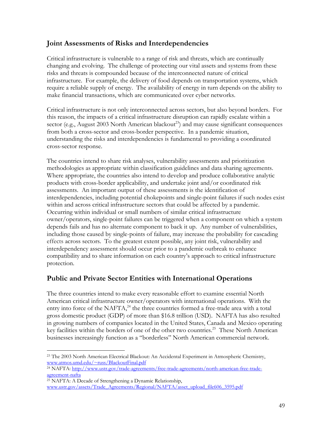### **Joint Assessments of Risks and Interdependencies**

Critical infrastructure is vulnerable to a range of risk and threats, which are continually changing and evolving. The challenge of protecting our vital assets and systems from these risks and threats is compounded because of the interconnected nature of critical infrastructure. For example, the delivery of food depends on transportation systems, which require a reliable supply of energy. The availability of energy in turn depends on the ability to make financial transactions, which are communicated over cyber networks.

Critical infrastructure is not only interconnected across sectors, but also beyond borders. For this reason, the impacts of a critical infrastructure disruption can rapidly escalate within a sector (e.g., August 2003 North American blackout<sup>23</sup>) and may cause significant consequences from both a cross-sector and cross-border perspective. In a pandemic situation, understanding the risks and interdependencies is fundamental to providing a coordinated cross-sector response.

The countries intend to share risk analyses, vulnerability assessments and prioritization methodologies as appropriate within classification guidelines and data sharing agreements. Where appropriate, the countries also intend to develop and produce collaborative analytic products with cross-border applicability, and undertake joint and/or coordinated risk assessments. An important output of these assessments is the identification of interdependencies, including potential chokepoints and single-point failures if such nodes exist within and across critical infrastructure sectors that could be affected by a pandemic. Occurring within individual or small numbers of similar critical infrastructure owner/operators, single-point failures can be triggered when a component on which a system depends fails and has no alternate component to back it up. Any number of vulnerabilities, including those caused by single-points of failure, may increase the probability for cascading effects across sectors. To the greatest extent possible, any joint risk, vulnerability and interdependency assessment should occur prior to a pandemic outbreak to enhance compatibility and to share information on each country's approach to critical infrastructure protection.

## **Public and Private Sector Entities with International Operations**

The three countries intend to make every reasonable effort to examine essential North American critical infrastructure owner/operators with international operations. With the entry into force of the NAFTA, $^{24}$  the three countries formed a free-trade area with a total gross domestic product (GDP) of more than \$16.8 trillion (USD). NAFTA has also resulted in growing numbers of companies located in the United States, Canada and Mexico operating key facilities within the borders of one of the other two countries.<sup>25</sup> These North American businesses increasingly function as a "borderless" North American commercial network.

<sup>25</sup> NAFTA: A Decade of Strengthening a Dynamic Relationship,

 $\overline{a}$ <sup>23</sup> The 2003 North American Electrical Blackout: An Accidental Experiment in Atmospheric Chemistry, www.atmos.umd.edu/~russ/BlackoutFinal.pdf

agreement-nafta <sup>24</sup> NAFTA: http://www.ustr.gov/trade-agreements/free-trade-agreements/north-american-free-trade-

www.ustr.gov/assets/Trade\_Agreements/Regional/NAFTA/asset\_upload\_file606\_3595.pdf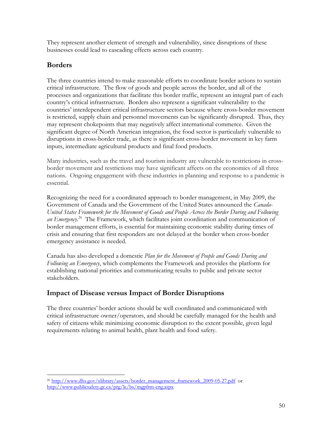They represent another element of strength and vulnerability, since disruptions of these businesses could lead to cascading effects across each country.

## **Borders**

The three countries intend to make reasonable efforts to coordinate border actions to sustain critical infrastructure. The flow of goods and people across the border, and all of the processes and organizations that facilitate this border traffic, represent an integral part of each country's critical infrastructure. Borders also represent a significant vulnerability to the countries' interdependent critical infrastructure sectors because where cross-border movement is restricted, supply chain and personnel movements can be significantly disrupted. Thus, they may represent chokepoints that may negatively affect international commerce. Given the significant degree of North American integration, the food sector is particularly vulnerable to disruptions in cross-border trade, as there is significant cross-border movement in key farm inputs, intermediate agricultural products and final food products.

Many industries, such as the travel and tourism industry are vulnerable to restrictions in crossborder movement and restrictions may have significant affects on the economies of all three nations. Ongoing engagement with these industries in planning and response to a pandemic is essential.

Recognizing the need for a coordinated approach to border management, in May 2009, the Government of Canada and the Government of the United States announced the *Canada-United States Framework for the Movement of Goods and People Across the Border During and Following an Emergency*. 26 The Framework, which facilitates joint coordination and communication of border management efforts, is essential for maintaining economic stability during times of crisis and ensuring that first responders are not delayed at the border when cross-border emergency assistance is needed.

Canada has also developed a domestic *Plan for the Movement of People and Goods During and Following an Emergency*, which complements the Framework and provides the platform for establishing national priorities and communicating results to public and private sector stakeholders.

## **Impact of Disease versus Impact of Border Disruptions**

The three countries' border actions should be well coordinated and communicated with critical infrastructure owner/operators, and should be carefully managed for the health and safety of citizens while minimizing economic disruption to the extent possible, given legal requirements relating to animal health, plant health and food safety.

 $\overline{a}$ http://www.publicsafety.gc.ca/prg/le/bs/mgpfrm-eng.aspx 50 <sup>26</sup> http://www.dhs.gov/xlibrary/assets/border\_management\_framework\_2009-05-27.pdf or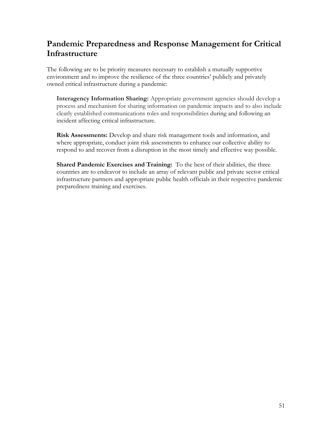# **Pandemic Preparedness and Response Management for Critical Infrastructure**

The following are to be priority measures necessary to establish a mutually supportive environment and to improve the resilience of the three countries' publicly and privately owned critical infrastructure during a pandemic:

**Interagency Information Sharing:** Appropriate government agencies should develop a process and mechanism for sharing information on pandemic impacts and to also include clearly established communications roles and responsibilities during and following an incident affecting critical infrastructure.

**Risk Assessments:** Develop and share risk management tools and information, and where appropriate, conduct joint risk assessments to enhance our collective ability to respond to and recover from a disruption in the most timely and effective way possible.

**Shared Pandemic Exercises and Training:** To the best of their abilities, the three countries are to endeavor to include an array of relevant public and private sector critical infrastructure partners and appropriate public health officials in their respective pandemic preparedness training and exercises.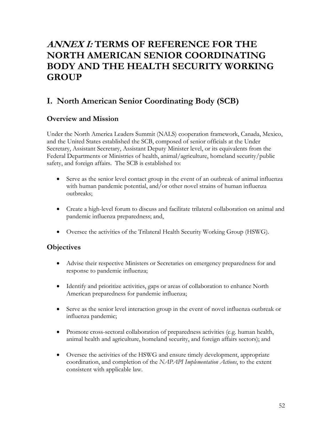# **ANNEX I: TERMS OF REFERENCE FOR THE NORTH AMERICAN SENIOR COORDINATING BODY AND THE HEALTH SECURITY WORKING GROUP**

# **I. North American Senior Coordinating Body (SCB)**

## **Overview and Mission**

Under the North America Leaders Summit (NALS) cooperation framework, Canada, Mexico, and the United States established the SCB, composed of senior officials at the Under Secretary, Assistant Secretary, Assistant Deputy Minister level, or its equivalents from the Federal Departments or Ministries of health, animal/agriculture, homeland security/public safety, and foreign affairs. The SCB is established to:

- Serve as the senior level contact group in the event of an outbreak of animal influenza with human pandemic potential, and/or other novel strains of human influenza outbreaks;
- Create a high-level forum to discuss and facilitate trilateral collaboration on animal and pandemic influenza preparedness; and,
- Oversee the activities of the Trilateral Health Security Working Group (HSWG).

### **Objectives**

- Advise their respective Ministers or Secretaries on emergency preparedness for and response to pandemic influenza;
- Identify and prioritize activities, gaps or areas of collaboration to enhance North American preparedness for pandemic influenza;
- Serve as the senior level interaction group in the event of novel influenza outbreak or influenza pandemic;
- Promote cross-sectoral collaboration of preparedness activities (e.g. human health, animal health and agriculture, homeland security, and foreign affairs sectors); and
- Oversee the activities of the HSWG and ensure timely development, appropriate coordination, and completion of the *NAPAPI Implementation Actions*, to the extent consistent with applicable law.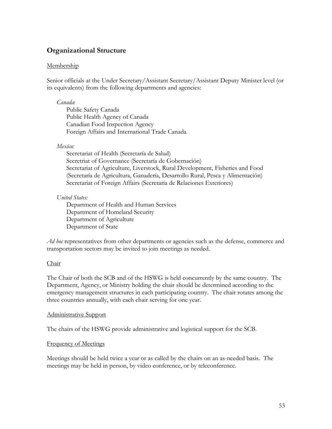## **Organizational Structure**

### **Membership**

Senior officials at the Under Secretary/Assistant Secretary/Assistant Deputy Minister level (or its equivalents) from the following departments and agencies:

#### *Canada*:

Public Safety Canada Public Health Agency of Canada Canadian Food Inspection Agency Foreign Affairs and International Trade Canada

### *Mexico:*

Secretariat of Health (Secretaría de Salud) Secretriat of Governance (Secretaría de Gobernación) Secretariat of Agriculture, Liverstock, Rural Development, Fisheries and Food (Secretaría de Agricultura, Ganadería, Desarrollo Rural, Pesca y Alimentación) Secretariat of Foreign Affairs (Secretaría de Relaciones Exteriores)

### *United States:*

Department of Health and Human Services Department of Homeland Security Department of Agriculture Department of State

*Ad hoc* representatives from other departments or agencies such as the defense, commerce and transportation sectors may be invited to join meetings as needed.

### Chair

The Chair of both the SCB and of the HSWG is held concurrently by the same country. The Department, Agency, or Ministry holding the chair should be determined according to the emergency management structures in each participating country. The chair rotates among the three countries annually, with each chair serving for one year.

#### Administrative Support

The chairs of the HSWG provide administrative and logistical support for the SCB.

### Frequency of Meetings

Meetings should be held twice a year or as called by the chairs on an as-needed basis. The meetings may be held in person, by video conference, or by teleconference.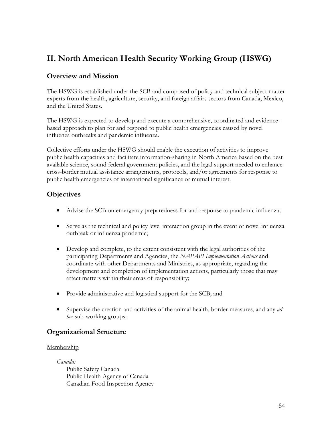# **II. North American Health Security Working Group (HSWG)**

## **Overview and Mission**

The HSWG is established under the SCB and composed of policy and technical subject matter experts from the health, agriculture, security, and foreign affairs sectors from Canada, Mexico, and the United States.

The HSWG is expected to develop and execute a comprehensive, coordinated and evidencebased approach to plan for and respond to public health emergencies caused by novel influenza outbreaks and pandemic influenza.

Collective efforts under the HSWG should enable the execution of activities to improve public health capacities and facilitate information-sharing in North America based on the best available science, sound federal government policies, and the legal support needed to enhance cross-border mutual assistance arrangements, protocols, and/or agreements for response to public health emergencies of international significance or mutual interest.

## **Objectives**

- Advise the SCB on emergency preparedness for and response to pandemic influenza;
- Serve as the technical and policy level interaction group in the event of novel influenza outbreak or influenza pandemic;
- Develop and complete, to the extent consistent with the legal authorities of the participating Departments and Agencies, the *NAPAPI Implementation Actions* and coordinate with other Departments and Ministries, as appropriate, regarding the development and completion of implementation actions, particularly those that may affect matters within their areas of responsibility;
- Provide administrative and logistical support for the SCB; and
- Supervise the creation and activities of the animal health, border measures, and any *ad hoc* sub-working groups.

## **Organizational Structure**

### Membership

*Canada:*  Public Safety Canada Public Health Agency of Canada Canadian Food Inspection Agency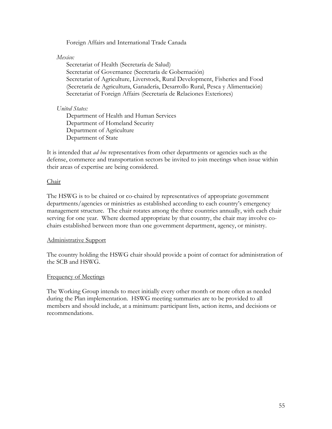Foreign Affairs and International Trade Canada

### *Mexico:*

Secretariat of Health (Secretaría de Salud) Secretariat of Governance (Secretaría de Gobernación) Secretariat of Agriculture, Liverstock, Rural Development, Fisheries and Food (Secretaría de Agricultura, Ganadería, Desarrollo Rural, Pesca y Alimentación) Secretariat of Foreign Affairs (Secretaría de Relaciones Exteriores)

### *United States:*

Department of Health and Human Services Department of Homeland Security Department of Agriculture Department of State

It is intended that *ad hoc* representatives from other departments or agencies such as the defense, commerce and transportation sectors be invited to join meetings when issue within their areas of expertise are being considered.

### Chair

The HSWG is to be chaired or co-chaired by representatives of appropriate government departments/agencies or ministries as established according to each country's emergency management structure. The chair rotates among the three countries annually, with each chair serving for one year. Where deemed appropriate by that country, the chair may involve cochairs established between more than one government department, agency, or ministry.

### Administrative Support

The country holding the HSWG chair should provide a point of contact for administration of the SCB and HSWG.

### Frequency of Meetings

The Working Group intends to meet initially every other month or more often as needed during the Plan implementation. HSWG meeting summaries are to be provided to all members and should include, at a minimum: participant lists, action items, and decisions or recommendations.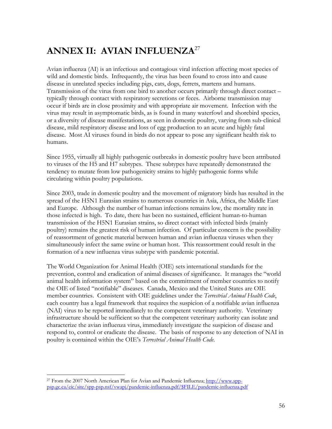# **ANNEX II: AVIAN INFLUENZA**27

Avian influenza (AI) is an infectious and contagious viral infection affecting most species of wild and domestic birds. Infrequently, the virus has been found to cross into and cause disease in unrelated species including pigs, cats, dogs, ferrets, martens and humans. Transmission of the virus from one bird to another occurs primarily through direct contact – typically through contact with respiratory secretions or feces. Airborne transmission may occur if birds are in close proximity and with appropriate air movement. Infection with the virus may result in asymptomatic birds, as is found in many waterfowl and shorebird species, or a diversity of disease manifestations, as seen in domestic poultry, varying from sub-clinical disease, mild respiratory disease and loss of egg production to an acute and highly fatal disease. Most AI viruses found in birds do not appear to pose any significant health risk to humans.

Since 1955, virtually all highly pathogenic outbreaks in domestic poultry have been attributed to viruses of the H5 and H7 subtypes. These subtypes have repeatedly demonstrated the tendency to mutate from low pathogenicity strains to highly pathogenic forms while circulating within poultry populations.

Since 2003, trade in domestic poultry and the movement of migratory birds has resulted in the spread of the H5N1 Eurasian strains to numerous countries in Asia, Africa, the Middle East and Europe. Although the number of human infections remains low, the mortality rate in those infected is high. To date, there has been no sustained, efficient human-to-human transmission of the H5N1 Eurasian strains, so direct contact with infected birds (mainly poultry) remains the greatest risk of human infection. Of particular concern is the possibility of reassortment of genetic material between human and avian influenza viruses when they simultaneously infect the same swine or human host. This reassortment could result in the formation of a new influenza virus subtype with pandemic potential.

The World Organization for Animal Health (OIE) sets international standards for the prevention, control and eradication of animal diseases of significance. It manages the "world animal health information system" based on the commitment of member countries to notify the OIE of listed "notifiable" diseases. Canada, Mexico and the United States are OIE member countries. Consistent with OIE guidelines under the *Terrestrial Animal Health Code*, each country has a legal framework that requires the suspicion of a notifiable avian influenza (NAI) virus to be reported immediately to the competent veterinary authority. Veterinary infrastructure should be sufficient so that the competent veterinary authority can isolate and characterize the avian influenza virus, immediately investigate the suspicion of disease and respond to, control or eradicate the disease. The basis of response to any detection of NAI in poultry is contained within the OIE's *Terrestrial Animal Health Code*.

 $\overline{a}$ psp.gc.ca/eic/site/spp-psp.nsf/vwapj/pandemic-influenza.pdf/\$FILE/pandemic-influenza.pdf<br>56 27 From the 2007 North American Plan for Avian and Pandemic Influenza; http://www.spp-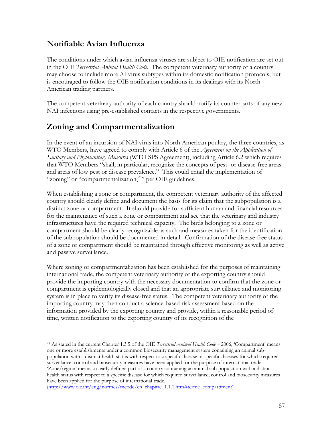## **Notifiable Avian Influenza**

The conditions under which avian influenza viruses are subject to OIE notification are set out in the OIE *Terrestrial Animal Health Code*. The competent veterinary authority of a country may choose to include more AI virus subtypes within its domestic notification protocols, but is encouraged to follow the OIE notification conditions in its dealings with its North American trading partners.

The competent veterinary authority of each country should notify its counterparts of any new NAI infections using pre-established contacts in the respective governments.

## **Zoning and Compartmentalization**

In the event of an incursion of NAI virus into North American poultry, the three countries, as WTO Members, have agreed to comply with Article 6 of the *Agreement on the Application of Sanitary and Phytosanitary Measures* (WTO SPS Agreement), including Article 6.2 which requires that WTO Members "shall, in particular, recognize the concepts of pest- or disease-free areas and areas of low pest or disease prevalence." This could entail the implementation of "zoning" or "compartmentalization,<sup>28</sup>" per OIE guidelines.

When establishing a zone or compartment, the competent veterinary authority of the affected country should clearly define and document the basis for its claim that the subpopulation is a distinct zone or compartment. It should provide for sufficient human and financial resources for the maintenance of such a zone or compartment and see that the veterinary and industry infrastructures have the required technical capacity. The birds belonging to a zone or compartment should be clearly recognizable as such and measures taken for the identification of the subpopulation should be documented in detail. Confirmation of the disease-free status of a zone or compartment should be maintained through effective monitoring as well as active and passive surveillance.

Where zoning or compartmentalization has been established for the purposes of maintaining international trade, the competent veterinary authority of the exporting country should provide the importing country with the necessary documentation to confirm that the zone or compartment is epidemiologically closed and that an appropriate surveillance and monitoring system is in place to verify its disease-free status. The competent veterinary authority of the importing country may then conduct a science-based risk assessment based on the information provided by the exporting country and provide, within a reasonable period of time, written notification to the exporting country of its recognition of the

 $\overline{a}$ 28 As stated in the current Chapter 1.3.5 of the OIE *Terrestrial Animal Health Code* – 2006, 'Compartment' means one or more establishments under a common biosecurity management system containing an animal subpopulation with a distinct health status with respect to a specific disease or specific diseases for which required surveillance, control and biosecurity measures have been applied for the purpose of international trade. 'Zone/region' means a clearly defined part of a country containing an animal sub-population with a distinct health status with respect to a specific disease for which required surveillance, control and biosecurity measures have been applied for the purpose of international trade.

<sup>(</sup>http://www.oie.int/eng/normes/mcode/en\_chapitre\_1.1.1.htm#terme\_compartiment)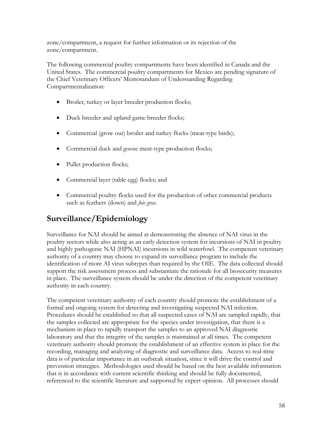zone/compartment, a request for further information or its rejection of the zone/compartment.

The following commercial poultry compartments have been identified in Canada and the United States. The commercial poultry compartments for Mexico are pending signature of the Chief Veterinary Officers' Memorandum of Understanding Regarding Compartmentalization:

- Broiler, turkey or layer breeder production flocks;
- Duck breeder and upland game breeder flocks;
- Commercial (grow out) broiler and turkey flocks (meat-type birds);
- Commercial duck and goose meat-type production flocks;
- Pullet production flocks;
- Commercial layer (table egg) flocks; and
- Commercial poultry flocks used for the production of other commercial products such as feathers (down) and *foie gras.*

# **Surveillance/Epidemiology**

Surveillance for NAI should be aimed at demonstrating the absence of NAI virus in the poultry sectors while also acting as an early detection system for incursions of NAI in poultry and highly pathogenic NAI (HPNAI) incursions in wild waterfowl. The competent veterinary authority of a country may choose to expand its surveillance program to include the identification of more AI virus subtypes than required by the OIE. The data collected should support the risk assessment process and substantiate the rationale for all biosecurity measures in place. The surveillance system should be under the direction of the competent veterinary authority in each country.

The competent veterinary authority of each country should promote the establishment of a formal and ongoing system for detecting and investigating suspected NAI infection. Procedures should be established so that all suspected cases of NAI are sampled rapidly, that the samples collected are appropriate for the species under investigation, that there is a mechanism in place to rapidly transport the samples to an approved NAI diagnostic laboratory and that the integrity of the samples is maintained at all times. The competent veterinary authority should promote the establishment of an effective system in place for the recording, managing and analyzing of diagnostic and surveillance data. Access to real-time data is of particular importance in an outbreak situation, since it will drive the control and prevention strategies. Methodologies used should be based on the best available information that is in accordance with current scientific thinking and should be fully documented, referenced to the scientific literature and supported by expert opinion. All processes should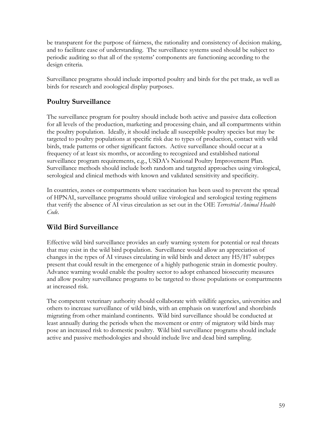be transparent for the purpose of fairness, the rationality and consistency of decision making, and to facilitate ease of understanding. The surveillance systems used should be subject to periodic auditing so that all of the systems' components are functioning according to the design criteria.

Surveillance programs should include imported poultry and birds for the pet trade, as well as birds for research and zoological display purposes.

## **Poultry Surveillance**

The surveillance program for poultry should include both active and passive data collection for all levels of the production, marketing and processing chain, and all compartments within the poultry population. Ideally, it should include all susceptible poultry species but may be targeted to poultry populations at specific risk due to types of production, contact with wild birds, trade patterns or other significant factors. Active surveillance should occur at a frequency of at least six months, or according to recognized and established national surveillance program requirements, e.g., USDA's National Poultry Improvement Plan. Surveillance methods should include both random and targeted approaches using virological, serological and clinical methods with known and validated sensitivity and specificity.

In countries, zones or compartments where vaccination has been used to prevent the spread of HPNAI, surveillance programs should utilize virological and serological testing regimens that verify the absence of AI virus circulation as set out in the OIE *Terrestrial Animal Health Code*.

## **Wild Bird Surveillance**

Effective wild bird surveillance provides an early warning system for potential or real threats that may exist in the wild bird population. Surveillance would allow an appreciation of changes in the types of AI viruses circulating in wild birds and detect any H5/H7 subtypes present that could result in the emergence of a highly pathogenic strain in domestic poultry. Advance warning would enable the poultry sector to adopt enhanced biosecurity measures and allow poultry surveillance programs to be targeted to those populations or compartments at increased risk.

The competent veterinary authority should collaborate with wildlife agencies, universities and others to increase surveillance of wild birds, with an emphasis on waterfowl and shorebirds migrating from other mainland continents. Wild bird surveillance should be conducted at least annually during the periods when the movement or entry of migratory wild birds may pose an increased risk to domestic poultry. Wild bird surveillance programs should include active and passive methodologies and should include live and dead bird sampling.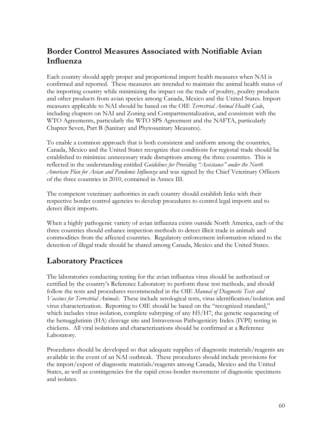# **Border Control Measures Associated with Notifiable Avian Influenza**

Each country should apply proper and proportional import health measures when NAI is confirmed and reported. These measures are intended to maintain the animal health status of the importing country while minimizing the impact on the trade of poultry, poultry products and other products from avian species among Canada, Mexico and the United States. Import measures applicable to NAI should be based on the OIE *Terrestrial Animal Health Code*, including chapters on NAI and Zoning and Compartmentalization, and consistent with the WTO Agreements, particularly the WTO SPS Agreement and the NAFTA, particularly Chapter Seven, Part B (Sanitary and Phytosanitary Measures).

To enable a common approach that is both consistent and uniform among the countries, Canada, Mexico and the United States recognize that conditions for regional trade should be established to minimize unnecessary trade disruptions among the three countries. This is reflected in the understanding entitled *Guidelines for Providing "Assistance" under the North American Plan for Avian and Pandemic Influenza* and was signed by the Chief Veterinary Officers of the three countries in 2010, contained in Annex III.

The competent veterinary authorities in each country should establish links with their respective border control agencies to develop procedures to control legal imports and to detect illicit imports.

When a highly pathogenic variety of avian influenza exists outside North America, each of the three countries should enhance inspection methods to detect illicit trade in animals and commodities from the affected countries. Regulatory enforcement information related to the detection of illegal trade should be shared among Canada, Mexico and the United States.

# **Laboratory Practices**

The laboratories conducting testing for the avian influenza virus should be authorized or certified by the country's Reference Laboratory to perform these test methods, and should follow the tests and procedures recommended in the OIE *Manual of Diagnostic Tests and Vaccines for Terrestrial Animals*. These include serological tests, virus identification/isolation and virus characterization. Reporting to OIE should be based on the "recognized standard," which includes virus isolation, complete subtyping of any H5/H7, the genetic sequencing of the hemagglutinin (HA) cleavage site and Intravenous Pathogenicity Index (IVPI) testing in chickens. All viral isolations and characterizations should be confirmed at a Reference Laboratory.

Procedures should be developed so that adequate supplies of diagnostic materials/reagents are available in the event of an NAI outbreak. These procedures should include provisions for the import/export of diagnostic materials/reagents among Canada, Mexico and the United States, as well as contingencies for the rapid cross-border movement of diagnostic specimens and isolates.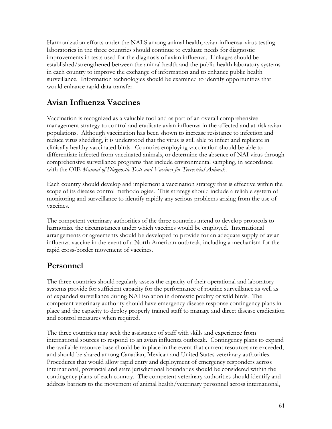Harmonization efforts under the NALS among animal health, avian-influenza-virus testing laboratories in the three countries should continue to evaluate needs for diagnostic improvements in tests used for the diagnosis of avian influenza. Linkages should be established/strengthened between the animal health and the public health laboratory systems in each country to improve the exchange of information and to enhance public health surveillance. Information technologies should be examined to identify opportunities that would enhance rapid data transfer.

# **Avian Influenza Vaccines**

Vaccination is recognized as a valuable tool and as part of an overall comprehensive management strategy to control and eradicate avian influenza in the affected and at-risk avian populations. Although vaccination has been shown to increase resistance to infection and reduce virus shedding, it is understood that the virus is still able to infect and replicate in clinically healthy vaccinated birds. Countries employing vaccination should be able to differentiate infected from vaccinated animals, or determine the absence of NAI virus through comprehensive surveillance programs that include environmental sampling, in accordance with the OIE *Manual of Diagnostic Tests and Vaccines for Terrestrial Animals*.

Each country should develop and implement a vaccination strategy that is effective within the scope of its disease control methodologies. This strategy should include a reliable system of monitoring and surveillance to identify rapidly any serious problems arising from the use of vaccines.

The competent veterinary authorities of the three countries intend to develop protocols to harmonize the circumstances under which vaccines would be employed. International arrangements or agreements should be developed to provide for an adequate supply of avian influenza vaccine in the event of a North American outbreak, including a mechanism for the rapid cross-border movement of vaccines.

## **Personnel**

The three countries should regularly assess the capacity of their operational and laboratory systems provide for sufficient capacity for the performance of routine surveillance as well as of expanded surveillance during NAI isolation in domestic poultry or wild birds. The competent veterinary authority should have emergency disease response contingency plans in place and the capacity to deploy properly trained staff to manage and direct disease eradication and control measures when required.

The three countries may seek the assistance of staff with skills and experience from international sources to respond to an avian influenza outbreak. Contingency plans to expand the available resource base should be in place in the event that current resources are exceeded, and should be shared among Canadian, Mexican and United States veterinary authorities. Procedures that would allow rapid entry and deployment of emergency responders across international, provincial and state jurisdictional boundaries should be considered within the contingency plans of each country. The competent veterinary authorities should identify and address barriers to the movement of animal health/veterinary personnel across international,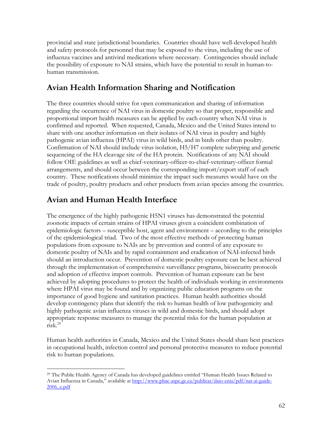provincial and state jurisdictional boundaries. Countries should have well-developed health and safety protocols for personnel that may be exposed to the virus, including the use of influenza vaccines and antiviral medications where necessary. Contingencies should include the possibility of exposure to NAI strains, which have the potential to result in human-tohuman transmission.

# **Avian Health Information Sharing and Notification**

The three countries should strive for open communication and sharing of information regarding the occurrence of NAI virus in domestic poultry so that proper, responsible and proportional import health measures can be applied by each country when NAI virus is confirmed and reported. When requested, Canada, Mexico and the United States intend to share with one another information on their isolates of NAI virus in poultry and highly pathogenic avian influenza (HPAI) virus in wild birds, and in birds other than poultry. Confirmation of NAI should include virus isolation, H5/H7 complete subtyping and genetic sequencing of the HA cleavage site of the HA protein. Notifications of any NAI should follow OIE guidelines as well as chief-veterinary-officer-to-chief-veterinary-officer formal arrangements, and should occur between the corresponding import/export staff of each country. These notifications should minimize the impact such measures would have on the trade of poultry, poultry products and other products from avian species among the countries.

# **Avian and Human Health Interface**

The emergence of the highly pathogenic H5N1 viruses has demonstrated the potential zoonotic impacts of certain strains of HPAI viruses given a coincident combination of epidemiologic factors – susceptible host, agent and environment – according to the principles of the epidemiological triad. Two of the most effective methods of protecting human populations from exposure to NAIs are by prevention and control of any exposure to domestic poultry of NAIs and by rapid containment and eradication of NAI-infected birds should an introduction occur. Prevention of domestic poultry exposure can be best achieved through the implementation of comprehensive surveillance programs, biosecurity protocols and adoption of effective import controls. Prevention of human exposure can be best achieved by adopting procedures to protect the health of individuals working in environments where HPAI virus may be found and by organizing public education programs on the importance of good hygiene and sanitation practices. Human health authorities should develop contingency plans that identify the risk to human health of low pathogenicity and highly pathogenic avian influenza viruses in wild and domestic birds, and should adopt appropriate response measures to manage the potential risks for the human population at risk.29

Human health authorities in Canada, Mexico and the United States should share best practices in occupational health, infection control and personal protective measures to reduce potential risk to human populations.

 $\overline{a}$ 29 The Public Health Agency of Canada has developed guidelines entitled "Human Health Issues Related to Avian Influenza in Canada," available at http://www.phac-aspc.gc.ca/publicat/daio-enia/pdf/nat-ai-guide-2006\_e.pdf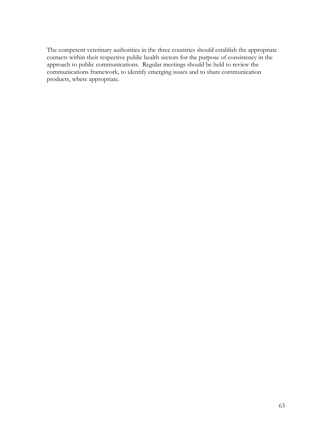The competent veterinary authorities in the three countries should establish the appropriate contacts within their respective public health sectors for the purpose of consistency in the approach to public communications. Regular meetings should be held to review the communications framework, to identify emerging issues and to share communication products, where appropriate.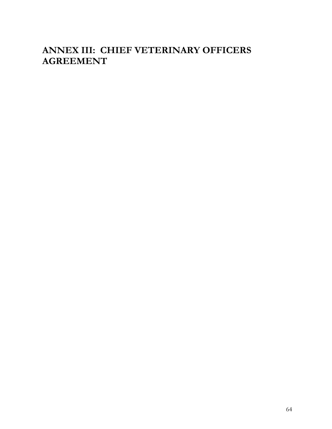# **ANNEX III: CHIEF VETERINARY OFFICERS AGREEMENT**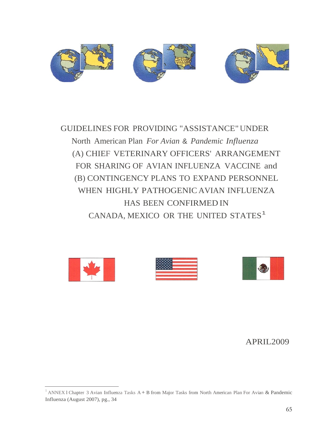

GUIDELINES FOR PROVIDING "ASSISTANCE" UNDER North American Plan *For Avian* & *Pandemic Influenza*  (A) CHIEF VETERINARY OFFICERS' ARRANGEMENT FOR SHARING OF AVIAN INFLUENZA VACCINE and (B) CONTINGENCY PLANS TO EXPAND PERSONNEL WHEN HIGHLY PATHOGENIC AVIAN INFLUENZA HAS BEEN CONFIRMED IN CANADA, MEXICO OR THE UNITED STATES<sup>1</sup>







## APRIL2009

<sup>&</sup>lt;sup>1</sup> ANNEX 1 Chapter 3 Avian Influenza Tasks A + B from Major Tasks from North American Plan For Avian & Pandemic Influenza (August 2007), pg., 34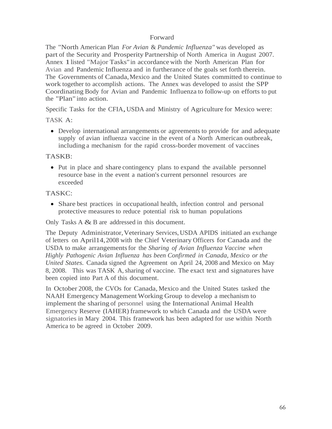### Forward

The "North American Plan *For Avian* & *Pandemic Influenza"* was developed as part of the Security and Prosperity Partnership of North America in August 2007. Annex 1listed "Major Tasks"in accordance with the North American Plan for Avian and Pandemic Influenza and in furtherance of the goals set forth therein. The Governments of Canada, Mexico and the United States committed to continue to work together to accomplish actions. The Annex was developed to assist the SPP Coordinating Body for Avian and Pandemic Influenza to follow-up on efforts to put the "Plan" into action.

Specific Tasks for the CFIA, USDA and Ministry of Agriculture for Mexico were:

### TASK A:

 Develop international arrangements or agreements to provide for and adequate supply of avian influenza vaccine in the event of a North American outbreak, including a mechanism for the rapid cross-border movement of vaccines

### TASKB:

• Put in place and share contingency plans to expand the available personnel resource base in the event a nation's current personnel resources are exceeded

### TASKC:

 Share best practices in occupational health, infection control and personal protective measures to reduce potential risk to human populations

Only Tasks A & B are addressed in this document.

The Deputy Administrator, Veterinary Services, USDA APIDS initiated an exchange of letters on April14, 2008 with the Chief Veterinary Officers for Canada and the USDA to make arrangements for the *Sharing of Avian Influenza Vaccine when Highly Pathogenic Avian Influenza has been Confirmed in Canada, Mexico or the United States.* Canada signed the Agreement on April 24, 2008 and Mexico on May 8, 2008. This was TASK A, sharing of vaccine. The exact text and signatures have been copied into Part A of this document.

In October 2008, the CVOs for Canada, Mexico and the United States tasked the NAAH Emergency Management Working Group to develop a mechanism to implement the sharing of personnel using the International Animal Health Emergency Reserve (IAHER) framework to which Canada and the USDA were signatories in Mary 2004. This framework has been adapted for use within North America to be agreed in October 2009.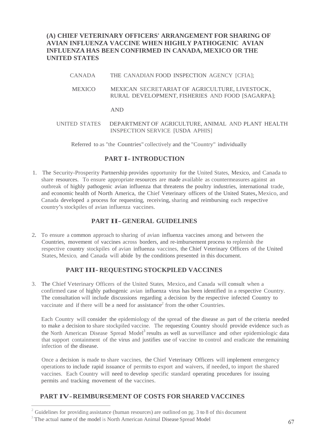**(A) CHIEF VETERINARY OFFICERS' ARRANGEMENT FOR SHARING OF AVIAN INFLUENZA VACCINE WHEN HIGHLY PATHOGENIC AVIAN INFLUENZA HAS BEEN CONFIRMED IN CANADA, MEXICO OR THE UNITED STATES** 

- CANADA THE CANADIAN FOOD INSPECTION AGENCY [CFIA];
- MEXICO MEXICAN SECRETARIAT OF AGRICULTURE, LIVESTOCK, RURAL DEVELOPMENT, FISHERIES AND FOOD [SAGARPA];

#### AND

UNITED STATES DEPARTMENT OF AGRICULTURE, ANIMAL AND PLANT HEALTH INSPECTION SERVICE [USDA APHIS]

Referred to as "the Countries" collectively and the "Country" individually

#### **PART I-INTRODUCTION**

 share resources. To ensure appropriate resources are made available as countermeasures against an 1. The Security-Prosperity Partnership provides opportunity for the United States, Mexico, and Canada to outbreak of highly pathogenic avian influenza that threatens the poultry industries, international trade, and economic health of North America, the Chief Veterinary officers of the United States, Mexico, and Canada developed a process for requesting, receiving, sharing and reimbursing each respective country's stockpiles of avian influenza vaccines.

### **PART II- GENERAL GUIDELINES**

States, Mexico, and Canada will abide by the conditions presented in this document. 2. To ensure a common approach to sharing of avian influenza vaccines among and between the Countries, movement of vaccines across borders, and re-imbursement process to replenish the respective country stockpiles of avian influenza vaccines, the Chief Veterinary Officers of the United

#### **PART III-REQUESTING STOCKPILED VACCINES**

 The consultation will include discussions regarding a decision by the respective infected Country to 3. The Chief Veterinary Officers of the United States, Mexico,and Canada will consult when a confirmed case of highly pathogenic avian influenza virus has been identified in a respective Country. vaccinate and if there will be a need for assistance<sup>2</sup> from the other Countries.

Each Country will consider the epidemiology of the spread of the disease as part of the criteria needed to make a decision to share stockpiled vaccine. The requesting Country should provide evidence such as the North American Disease Spread Model<sup>3</sup> results as well as surveillance and other epidemiologic data that support containment of the virus and justifies use of vaccine to control and eradicate the remaining infection of the disease.

Once a decision is made to share vaccines, the Chief Veterinary Officers will implement emergency operations to include rapid issuance of permits to export and waivers, if needed, to import the shared vaccines. Each Country will need to develop specific standard operating procedures for issuing permits and tracking movement of the vaccines.

### **PART IV-REIMBURSEMENT OF COSTS FOR SHARED VACCINES**

<sup>2</sup> Guidelines for providing assistance (human resources) are outlined on pg. 3 to 8 of this document  $67$ <br><sup>3</sup> The actual name of the model is North American Animal Disease Spread Model 67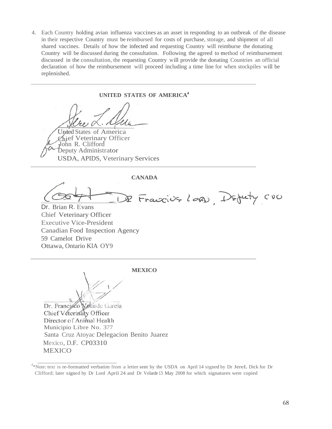4. Each Country holding avian influenza vaccines as an asset in responding to an outbreak of the disease shared vaccines. Details of how the infected and requesting Country will reimburse the donating Country will be discussed during the consultation. Following the agreed to method of reimbursement discussed in the consultation, the requesting Country will provide the donating Countries an official in their respective Country must be reimbursed for costs of purchase, storage, and shipment of all declaration of how the reimbursement will proceed including a time line for when stockpiles will be replenished.

**UNITED STATES OF AMERICA4**  United States of America Zhief Veterinary Officer<br>John R. Clifford <sub>J</sub>John R. Clifford<br>Deputy Administrator USDA, APIDS, Veterinary Services **CANADA** Francis Lord, Defuty CUO

Dr. Brian R. Evans Chief Veterinary Officer Executive Vice-President Canadian Food Inspection Agency 59 Camelot Drive Ottawa, Ontario KlA OY9

**MEXICO**

**Marde** García Dr. Francisco Chief Véterinary Officer Director of Animal Health Municipio Libre No. 377 Santa Cruz Atoyac Delegacion Benito Juarez Mexico, D.F. CP03310 MEXICO

 Clifford; later signed by Dr Lord April 24 and Dr Velarde 13 May 2008 for which signatures were copied <sup>4</sup>\*Note: text is re-formatted verbatim from a letter sent by the USDA on April 14 signed by Dr JereL Dick for Dr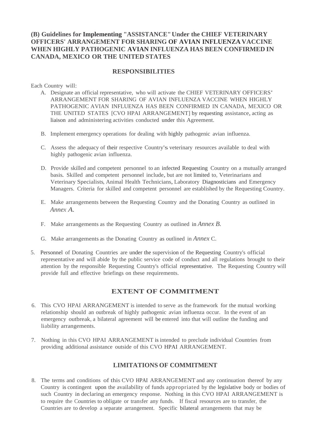### **(B) Guidelines for Implementing "ASSISTANCE" Under the CHIEF VETERINARY OFFICERS' ARRANGEMENT FOR SHARING OF AVIAN INFLUENZA VACCINE WHEN HIGHLY PATHOGENIC AVIAN INFLUENZA HAS BEEN CONFIRMED IN CANADA, MEXICO OR THE UNITED STATES**

### **RESPONSIBILITIES**

Each Country will:

- A. Designate an official representative, who will activate the CHIEF VETERINARY OFFICERS' ARRANGEMENT FOR SHARING OF AVIAN INFLUENZA VACCINE WHEN HIGHLY PATHOGENIC AVIAN INFLUENZA HAS BEEN CONFIRMED IN CANADA, MEXICO OR THE UNITED STATES [CVO HPAI ARRANGEMENT] by requesting assistance, acting as liaison and administering activities conducted under this Agreement.
- B. Implement emergency operations for dealing with highly pathogenic avian influenza.
- C. Assess the adequacy of their respective Country's veterinary resources available to deal with highly pathogenic avian influenza.
- D. Provide skilled and competent personnel to an infected Requesting Country on a mutually arranged basis. Skilled and competent personnel include, but are not limited to, Veterinarians and Veterinary Specialists, Animal Health Technicians, Laboratory Diagnosticians and Emergency Managers. Criteria for skilled and competent personnel are established by the Requesting Country.
- E. Make arrangements between the Requesting Country and the Donating Country as outlined in *Annex A.*
- F. Make arrangements as the Requesting Country as outlined in *Annex B.*
- G. Make arrangements as the Donating Country as outlined in *Annex* C.
- representative and will abide by the public service code of conduct and all regulations brought to their provide full and effective briefings on these requirements. 5. Personnel of Donating Countries are under the supervision of the Requesting Country's official attention by the responsible Requesting Country's official representative. The Requesting Country will

### **EXTENT OF COMMITMENT**

- 6. This CVO HPAI ARRANGEMENT is intended to serve as the framework for the mutual working relationship should an outbreak of highly pathogenic avian influenza occur. In the event of an emergency outbreak, a bilateral agreement will be entered into that will outline the funding and liability arrangements.
- 7. Nothing in this CVO HPAI ARRANGEMENT is intended to preclude individual Countries from providing additional assistance outside of this CVO HPAI ARRANGEMENT.

### **LIMITATIONS OF COMMITMENT**

 8. The terms and conditions of this CVO HPAI ARRANGEMENT and any continuation thereof by any Country is contingent upon the availability of funds appropriated by the legislative body or bodies of to require the Countries to obligate or transfer any funds. If fiscal resources are to transfer, the such Country in declaring an emergency response. Nothing in this CVO HPAI ARRANGEMENT is Countries are to develop a separate arrangement. Specific bilateral arrangements that may be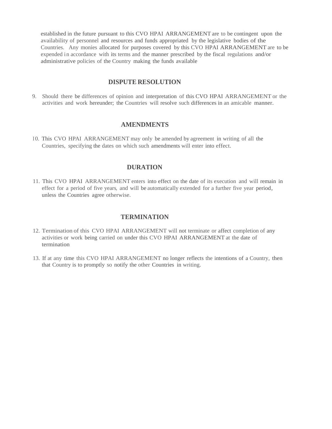established in the future pursuant to this CVO HPAI ARRANGEMENT are to be contingent upon the availability of personnel and resources and funds appropriated by the legislative bodies of the Countries. Any monies allocated for purposes covered by this CVO HPAI ARRANGEMENT are to be expended in accordance with its terms and the manner prescribed by the fiscal regulations and/or administrative policies of the Country making the funds available

## **DISPUTE RESOLUTION**

9. Should there be differences of opinion and interpretation of this CVO HPAI ARRANGEMENT or the activities and work hereunder; the Countries will resolve such differences in an amicable manner.

### **AMENDMENTS**

IO. This CVO HPAI ARRANGEMENT may only be amended by agreement in writing of all the Countries, specifying the dates on which such amendments will enter into effect.

# **DURATION**

 11. This CVO HPAI ARRANGEMENT enters into effect on the date of its execution and will remain in effect for a period of five years, and will be automatically extended for a further five year period, unless the Countries agree otherwise.

### **TERMINATION**

- 12. Termination of this CVO HPAI ARRANGEMENT will not terminate or affect completion of any activities or work being carried on under this CVO HPAI ARRANGEMENT at the date of termination
- 13. If at any time this CVO HPAI ARRANGEMENT no longer reflects the intentions of a Country, then that Country is to promptly so notify the other Countries in writing.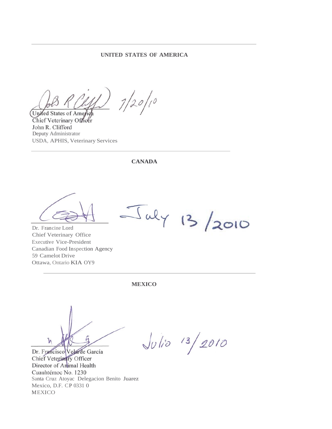### **UNITED STATES OF AMERICA**

 $7/20/10$ United States of America

Chief Veterinary Officer John R. Clifford Deputy Administrator USDA, APHIS, Veterinary Services

**CANADA**

Dr. Francine Lord Chief Veterinary Office Executive Vice-President Canadian Food Inspection Agency 59 Camelot Drive Ottawa, Ontario KIA OY9

**MEXICO**

Ī۸

Dr. Francisco Velarde García Chief Veterinary Officer Director of Animal Health Cuauhtémoc No. 1230 Santa Cruz Atoyac Delegacion Benito Juarez Mexico, D.F. CP 0331 0 MEXICO

 $J_{U}/_{10}$  13/2010

July 13/2010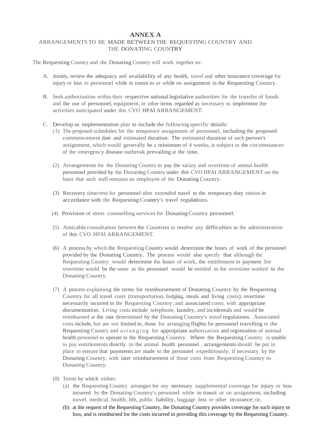### **ANNEX A**

#### ARRANGEMENTS TO BE MADE BETWEEN THE REQUESTING COUNTRY AND THE DONATING COUNTRY

The Requesting Country and the Donating Country will work together to:

- A. Jointly, review the adequacy and availability of any health, travel and other insurance coverage for injury or loss to personnel while in transit to or while on assignment in the Requesting Country.
- and the use of personnel, equipment, or other items regarded as necessary to implement the B. Seek authorisation within their respective national legislative authorities for the transfer of funds activities anticipated under this CVO HPAI ARRANGEMENT.
- C. Develop an implementation plan to include the following specific details:
	- (1) The proposed schedules for the temporary assignment of personnel, including the proposed commencement date and estimated duration. The estimated duration of each person's assignment, which would generally be a minimum of 4 weeks, is subject to the circumstances of the emergency disease outbreak prevailing at the time.
	- (2) Arrangements for the Donating Country to pay the salary and overtime of animal health personnel provided by the Donating Country under this CVO HPAI ARRANGEMENT on the basis that such staff remains an employee of the Donating Country.
	- (3) Recovery time/rest for personnel after extended travel to the temporary duty station in accordance with the Requesting Country's travel regulations.
	- (4) Provision of stress counselling services for Donating Country personnel.
	- (5) Amicable consultation between the Countries to resolve any difficulties in the administration of this CVO HPAI ARRANGEMENT.
	- (6) A process by which the Requesting Country would determine the hours of work of the personnel provided by the Donating Country. The process would also specify that although the overtime would be the same as the personnel would be entitled to for overtime worked in the Requesting Country would determine the hours of work, the entitlement to payment for Donating Country.
	- costs include, but are not limited to, those for arranging flights for personnel travelling to the health personnel to operate in the Requesting Country. Where the Requesting Country is unable to pay entitlements directly to the animal health personnel , arrangements should be put in place to ensure that payments are made to the personnel expeditiously, if necessary by the Donating Country, with later reimbursement of those costs from Requesting Country to (7) A process explaining the terms for reimbursement of Donating Country by the Requesting Country for all travel costs (transportation, lodging, meals and living costs); overtime necessarily incurred in the Requesting Country; and associated costs, with appropriate documentation. Living costs include telephone, laundry, and incidentals and would be reimbursed at the rate determined by the Donating Country's travel regulations. Associated Requesting Country and arranging for appropriate authorisation and registration of animal Donating Country.
	- (8) Terms by which either:
		- (a) the Requesting Country arranges for any necessary supplemental coverage for injury or loss travel, medical, health, life, public liability, baggage loss or other insurance; or, incurred by the Donating Country's personnel while in transit or on assignment, including
		- (b) at the request of the Requesting Country, the Donating Country provides coverage for such injury or loss, and is reimbursed for the costs incurred in providing this coverage by the Requesting Country.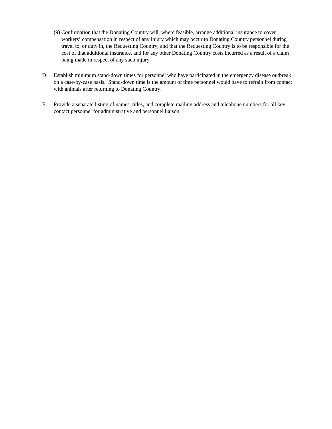- (9) Confirmation that the Donating Country will, where feasible, arrange additional insurance to cover workers' compensation in respect of any injury which may occur to Donating Country personnel during travel to, or duty in, the Requesting Country, and that the Requesting Country is to be responsible for the cost of that additional insurance, and for any other Donating Country costs incurred as a result of a claim being made in respect of any such injury.
- on a case-by-case basis. Stand-down time is the amount of time personnel would have to refrain from contact D. Establish minimum stand-down times for personnel who have participated in the emergency disease outbreak with animals after returning to Donating Country.
- E. Provide a separate listing of names, titles, and complete mailing address and telephone numbers for all key contact personnel for administrative and personnel liaison.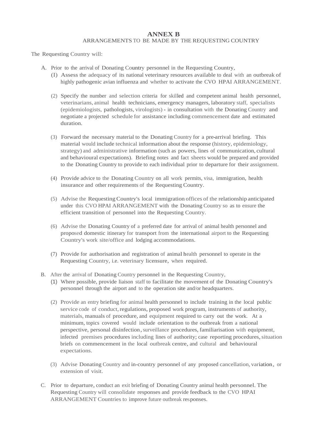# **ANNEX B**

#### ARRANGEMENTS TO BE MADE BY THE REQUESTING COUNTRY

The Requesting Country will:

- A. Prior to the arrival of Donating Country personnel in the Requesting Country,
	- (I) Assess the adequacy of its national veterinary resources available to deal with an outbreak of highly pathogenic avian influenza and whether to activate the CVO HPAI ARRANGEMENT.
	- (2) Specify the number and selection criteria for skilled and competent animal health personnel, veterinarians, animal health technicians, emergency managers, laboratory staff, specialists negotiate a projected schedule for assistance including commencement date and estimated (epidemiologists, pathologists, virologists) - in consultation with the Donating Country and duration.
	- (3) Forward the necessary material to the Donating Country for a pre-arrival briefing. This material would include technical information about the response (history, epidemiology, strategy) and administrative information (such as powers, lines of communication, cultural and behavioural expectations). Briefing notes and fact sheets would be prepared and provided to the Donating Country to provide to each individual prior to departure for their assignment.
	- (4) Provide advice to the Donating Country on all work permits, visa, immigration, health insurance and other requirements of the Requesting Country.
	- (5) Advise the Requesting Country's local immigration offices of the relationship anticipated under this CVO HPAI ARRANGEMENT with the Donating Country so as to ensure the efficient transition of personnel into the Requesting Country.
	- (6) Advise the Donating Country of a preferred date for arrival of animal health personnel and proposed domestic itinerary for transport from the international airport to the Requesting Country's work site/office and lodging accommodations.
	- (7) Provide for authorisation and registration of animal health personnel to operate in the Requesting Country, i.e. veterinary licensure, when required.
- B. After the arrival of Donating Country personnel in the Requesting Country,
	- (1) Where possible, provide liaison staff to facilitate the movement of the Donating Country's personnel through the airport and to the operation site and/or headquarters.
	- materials, manuals of procedure, and equipment required to carry out the work. At a minimum, topics covered would include orientation to the outbreak from a national (2) Provide an entry briefing for animal health personnel to include training in the local public service code of conduct, regulations, proposed work program, instruments of authority, perspective, personal disinfection, surveillance procedures, familiarisation with equipment, infected premises procedures including lines of authority; case reporting procedures, situation briefs on commencement in the local outbreak centre, and cultural and behavioural expectations.
	- (3) Advise Donating Country and in-country personnel of any proposed cancellation, variation, or extension of visit.
- C. Prior to departure, conduct an exit briefing of Donating Country animal health personnel. The Requesting Country will consolidate responses and provide feedback to the CVO HPAI ARRANGEMENT Countries to improve future outbreak responses.